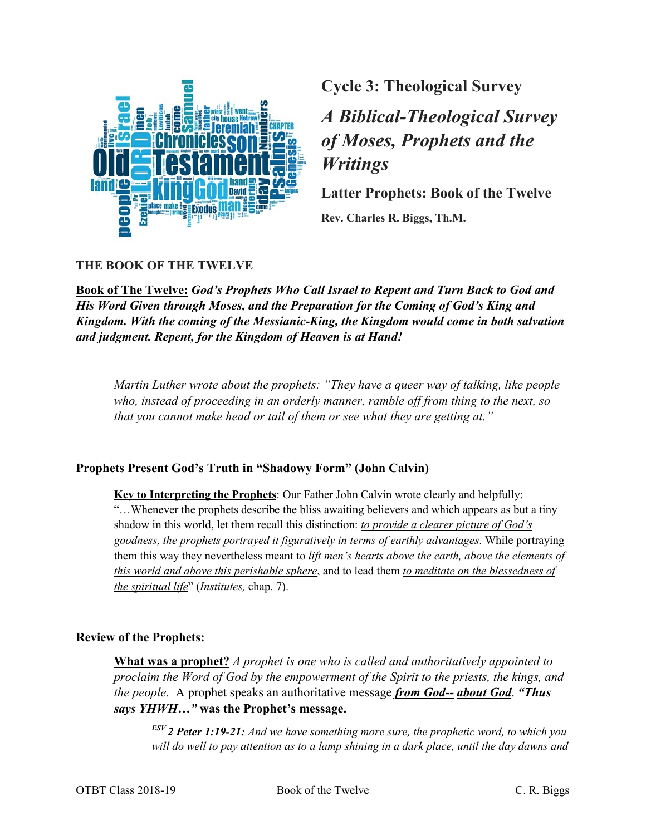

**Cycle 3: Theological Survey**

# *A Biblical-Theological Survey of Moses, Prophets and the Writings*

**Latter Prophets: Book of the Twelve** 

**Rev. Charles R. Biggs, Th.M.**

## **THE BOOK OF THE TWELVE**

**Book of The Twelve:** *God's Prophets Who Call Israel to Repent and Turn Back to God and His Word Given through Moses, and the Preparation for the Coming of God's King and Kingdom. With the coming of the Messianic-King, the Kingdom would come in both salvation and judgment. Repent, for the Kingdom of Heaven is at Hand!*

*Martin Luther wrote about the prophets: "They have a queer way of talking, like people who, instead of proceeding in an orderly manner, ramble off from thing to the next, so that you cannot make head or tail of them or see what they are getting at."*

#### **Prophets Present God's Truth in "Shadowy Form" (John Calvin)**

**Key to Interpreting the Prophets**: Our Father John Calvin wrote clearly and helpfully: "…Whenever the prophets describe the bliss awaiting believers and which appears as but a tiny shadow in this world, let them recall this distinction: *to provide a clearer picture of God's goodness, the prophets portrayed it figuratively in terms of earthly advantages*. While portraying them this way they nevertheless meant to *lift men's hearts above the earth, above the elements of this world and above this perishable sphere*, and to lead them *to meditate on the blessedness of the spiritual life*" (*Institutes,* chap. 7).

#### **Review of the Prophets:**

**What was a prophet?** *A prophet is one who is called and authoritatively appointed to proclaim the Word of God by the empowerment of the Spirit to the priests, the kings, and the people.* A prophet speaks an authoritative message *from God-- about God*. *"Thus says YHWH…"* **was the Prophet's message.**

*ESV 2 Peter 1:19-21: And we have something more sure, the prophetic word, to which you will do well to pay attention as to a lamp shining in a dark place, until the day dawns and*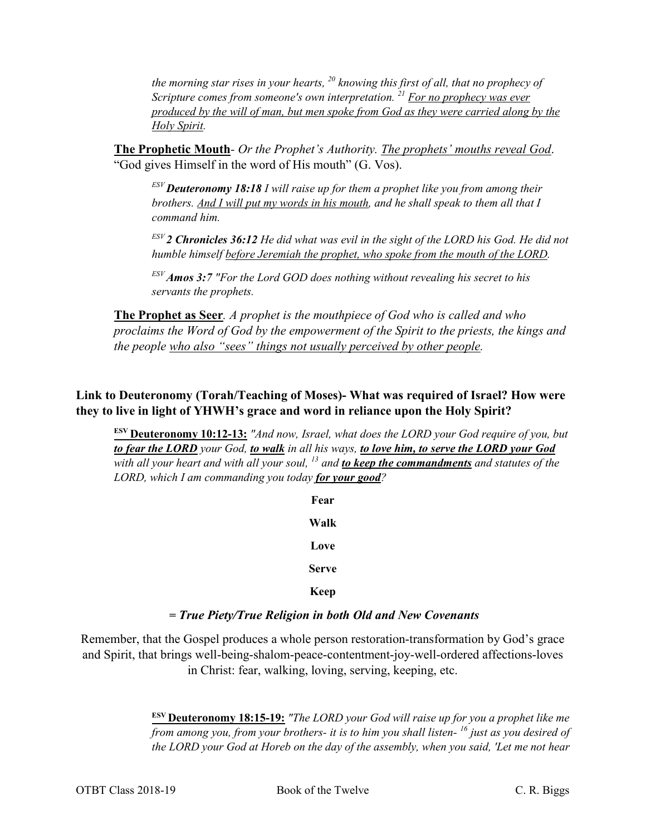*the morning star rises in your hearts, <sup>20</sup> knowing this first of all, that no prophecy of Scripture comes from someone's own interpretation. 21 For no prophecy was ever produced by the will of man, but men spoke from God as they were carried along by the Holy Spirit.*

**The Prophetic Mouth***- Or the Prophet's Authority. The prophets' mouths reveal God*. "God gives Himself in the word of His mouth" (G. Vos).

*ESV Deuteronomy 18:18 I will raise up for them a prophet like you from among their brothers. And I will put my words in his mouth, and he shall speak to them all that I command him.*

*ESV 2 Chronicles 36:12 He did what was evil in the sight of the LORD his God. He did not humble himself before Jeremiah the prophet, who spoke from the mouth of the LORD.*

*ESV Amos 3:7 "For the Lord GOD does nothing without revealing his secret to his servants the prophets.*

**The Prophet as Seer***. A prophet is the mouthpiece of God who is called and who proclaims the Word of God by the empowerment of the Spirit to the priests, the kings and the people who also "sees" things not usually perceived by other people.*

# **Link to Deuteronomy (Torah/Teaching of Moses)- What was required of Israel? How were they to live in light of YHWH's grace and word in reliance upon the Holy Spirit?**

**ESV Deuteronomy 10:12-13:** *"And now, Israel, what does the LORD your God require of you, but to fear the LORD your God, to walk in all his ways, to love him, to serve the LORD your God with all your heart and with all your soul, 13 and to keep the commandments and statutes of the LORD, which I am commanding you today for your good?*

> **Fear Walk Love Serve Keep**

#### **=** *True Piety/True Religion in both Old and New Covenants*

Remember, that the Gospel produces a whole person restoration-transformation by God's grace and Spirit, that brings well-being-shalom-peace-contentment-joy-well-ordered affections-loves in Christ: fear, walking, loving, serving, keeping, etc.

> **ESV Deuteronomy 18:15-19:** *"The LORD your God will raise up for you a prophet like me from among you, from your brothers- it is to him you shall listen- <sup>16</sup> just as you desired of the LORD your God at Horeb on the day of the assembly, when you said, 'Let me not hear*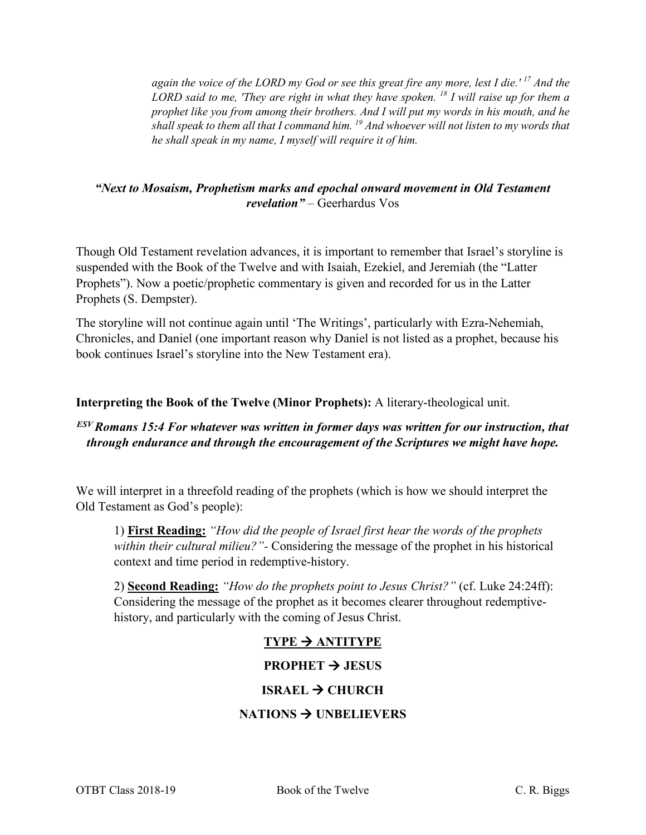*again the voice of the LORD my God or see this great fire any more, lest I die.' <sup>17</sup> And the LORD said to me, 'They are right in what they have spoken. <sup>18</sup> I will raise up for them a prophet like you from among their brothers. And I will put my words in his mouth, and he shall speak to them all that I command him. 19 And whoever will not listen to my words that he shall speak in my name, I myself will require it of him.*

### *"Next to Mosaism, Prophetism marks and epochal onward movement in Old Testament revelation"* – Geerhardus Vos

Though Old Testament revelation advances, it is important to remember that Israel's storyline is suspended with the Book of the Twelve and with Isaiah, Ezekiel, and Jeremiah (the "Latter Prophets"). Now a poetic/prophetic commentary is given and recorded for us in the Latter Prophets (S. Dempster).

The storyline will not continue again until 'The Writings', particularly with Ezra-Nehemiah, Chronicles, and Daniel (one important reason why Daniel is not listed as a prophet, because his book continues Israel's storyline into the New Testament era).

#### **Interpreting the Book of the Twelve (Minor Prophets):** A literary-theological unit.

# *ESV Romans 15:4 For whatever was written in former days was written for our instruction, that through endurance and through the encouragement of the Scriptures we might have hope.*

We will interpret in a threefold reading of the prophets (which is how we should interpret the Old Testament as God's people):

1) **First Reading:** *"How did the people of Israel first hear the words of the prophets within their cultural milieu?"-* Considering the message of the prophet in his historical context and time period in redemptive-history.

2) **Second Reading:** *"How do the prophets point to Jesus Christ?"* (cf. Luke 24:24ff): Considering the message of the prophet as it becomes clearer throughout redemptivehistory, and particularly with the coming of Jesus Christ.

# $TYPE \rightarrow ANTITYPE$

#### **PROPHET**  $\rightarrow$  **JESUS**

#### **ISRAEL → CHURCH**

#### **NATIONS UNBELIEVERS**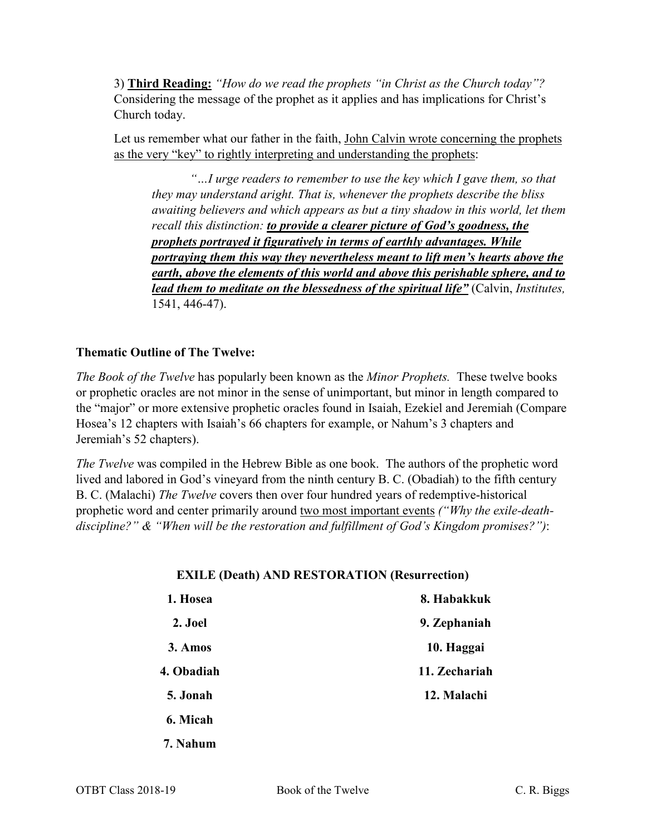3) **Third Reading:** *"How do we read the prophets "in Christ as the Church today"?*  Considering the message of the prophet as it applies and has implications for Christ's Church today.

Let us remember what our father in the faith, John Calvin wrote concerning the prophets as the very "key" to rightly interpreting and understanding the prophets:

*"…I urge readers to remember to use the key which I gave them, so that they may understand aright. That is, whenever the prophets describe the bliss awaiting believers and which appears as but a tiny shadow in this world, let them recall this distinction: to provide a clearer picture of God's goodness, the prophets portrayed it figuratively in terms of earthly advantages. While portraying them this way they nevertheless meant to lift men's hearts above the earth, above the elements of this world and above this perishable sphere, and to lead them to meditate on the blessedness of the spiritual life"* (Calvin, *Institutes,*  1541, 446-47).

#### **Thematic Outline of The Twelve:**

*The Book of the Twelve* has popularly been known as the *Minor Prophets.* These twelve books or prophetic oracles are not minor in the sense of unimportant, but minor in length compared to the "major" or more extensive prophetic oracles found in Isaiah, Ezekiel and Jeremiah (Compare Hosea's 12 chapters with Isaiah's 66 chapters for example, or Nahum's 3 chapters and Jeremiah's 52 chapters).

*The Twelve* was compiled in the Hebrew Bible as one book. The authors of the prophetic word lived and labored in God's vineyard from the ninth century B. C. (Obadiah) to the fifth century B. C. (Malachi) *The Twelve* covers then over four hundred years of redemptive-historical prophetic word and center primarily around two most important events *("Why the exile-deathdiscipline?" & "When will be the restoration and fulfillment of God's Kingdom promises?")*:

#### **EXILE (Death) AND RESTORATION (Resurrection)**

| 1. Hosea   | 8. Habakkuk   |
|------------|---------------|
| 2. Joel    | 9. Zephaniah  |
| 3. Amos    | 10. Haggai    |
| 4. Obadiah | 11. Zechariah |
| 5. Jonah   | 12. Malachi   |
| 6. Micah   |               |
| 7. Nahum   |               |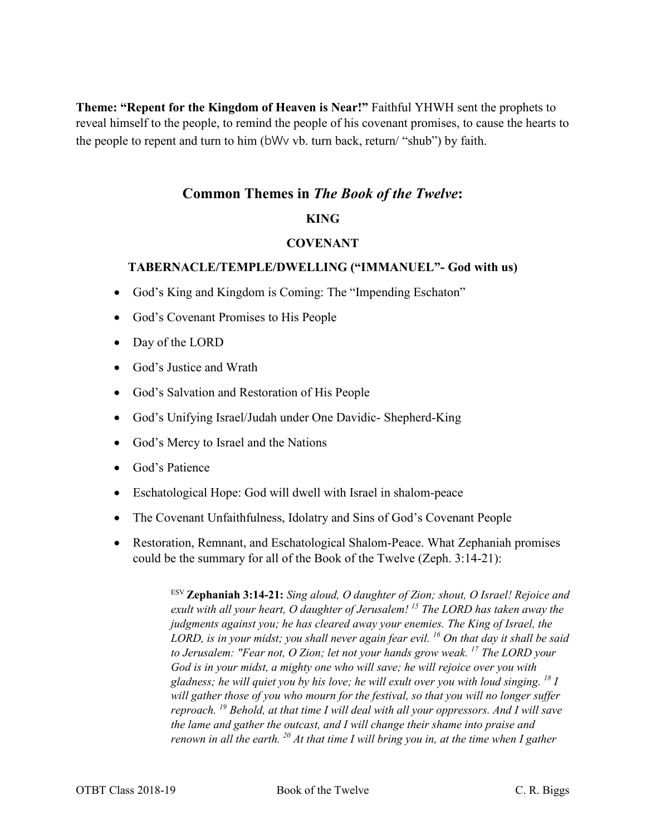**Theme: "Repent for the Kingdom of Heaven is Near!"** Faithful YHWH sent the prophets to reveal himself to the people, to remind the people of his covenant promises, to cause the hearts to the people to repent and turn to him (bWv vb. turn back, return/ "shub") by faith.

# **Common Themes in** *The Book of the Twelve***:**

# **KING**

## **COVENANT**

#### **TABERNACLE/TEMPLE/DWELLING ("IMMANUEL"- God with us)**

- God's King and Kingdom is Coming: The "Impending Eschaton"
- God's Covenant Promises to His People
- Day of the LORD
- God's Justice and Wrath
- God's Salvation and Restoration of His People
- God's Unifying Israel/Judah under One Davidic- Shepherd-King
- God's Mercy to Israel and the Nations
- God's Patience
- Eschatological Hope: God will dwell with Israel in shalom-peace
- The Covenant Unfaithfulness, Idolatry and Sins of God's Covenant People
- Restoration, Remnant, and Eschatological Shalom-Peace. What Zephaniah promises could be the summary for all of the Book of the Twelve (Zeph. 3:14-21):

ESV **Zephaniah 3:14-21:** *Sing aloud, O daughter of Zion; shout, O Israel! Rejoice and exult with all your heart, O daughter of Jerusalem! <sup>15</sup> The LORD has taken away the judgments against you; he has cleared away your enemies. The King of Israel, the LORD, is in your midst; you shall never again fear evil. 16 On that day it shall be said to Jerusalem: "Fear not, O Zion; let not your hands grow weak. 17 The LORD your God is in your midst, a mighty one who will save; he will rejoice over you with gladness; he will quiet you by his love; he will exult over you with loud singing. 18 I will gather those of you who mourn for the festival, so that you will no longer suffer reproach. <sup>19</sup> Behold, at that time I will deal with all your oppressors. And I will save the lame and gather the outcast, and I will change their shame into praise and renown in all the earth. 20 At that time I will bring you in, at the time when I gather*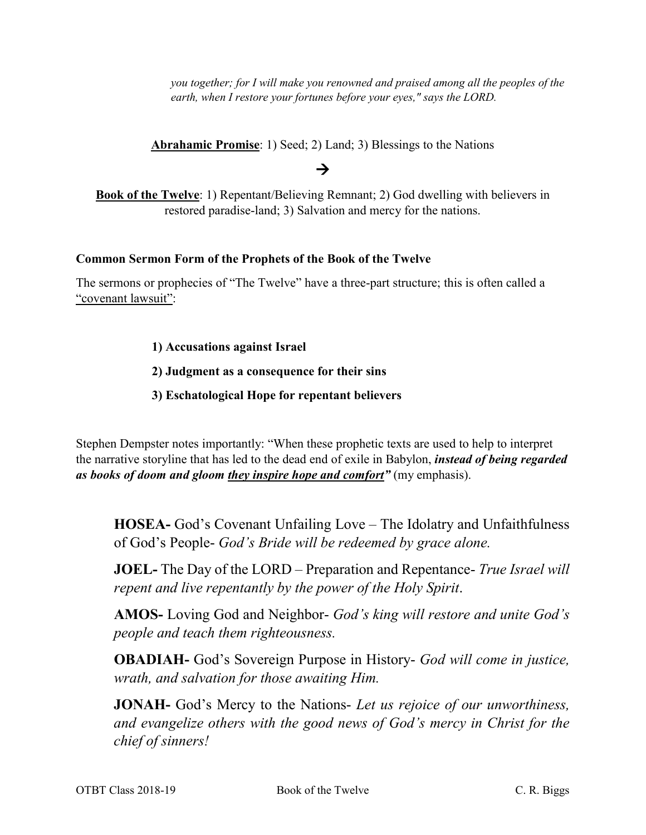*you together; for I will make you renowned and praised among all the peoples of the earth, when I restore your fortunes before your eyes," says the LORD.*

**Abrahamic Promise**: 1) Seed; 2) Land; 3) Blessings to the Nations

# $\rightarrow$

**Book of the Twelve**: 1) Repentant/Believing Remnant; 2) God dwelling with believers in restored paradise-land; 3) Salvation and mercy for the nations.

#### **Common Sermon Form of the Prophets of the Book of the Twelve**

The sermons or prophecies of "The Twelve" have a three-part structure; this is often called a "covenant lawsuit":

## **1) Accusations against Israel**

# **2) Judgment as a consequence for their sins**

## **3) Eschatological Hope for repentant believers**

Stephen Dempster notes importantly: "When these prophetic texts are used to help to interpret the narrative storyline that has led to the dead end of exile in Babylon, *instead of being regarded as books of doom and gloom they inspire hope and comfort"* (my emphasis).

**HOSEA-** God's Covenant Unfailing Love – The Idolatry and Unfaithfulness of God's People- *God's Bride will be redeemed by grace alone.*

**JOEL-** The Day of the LORD – Preparation and Repentance- *True Israel will repent and live repentantly by the power of the Holy Spirit*.

**AMOS-** Loving God and Neighbor- *God's king will restore and unite God's people and teach them righteousness.*

**OBADIAH-** God's Sovereign Purpose in History- *God will come in justice, wrath, and salvation for those awaiting Him.*

**JONAH-** God's Mercy to the Nations- *Let us rejoice of our unworthiness, and evangelize others with the good news of God's mercy in Christ for the chief of sinners!*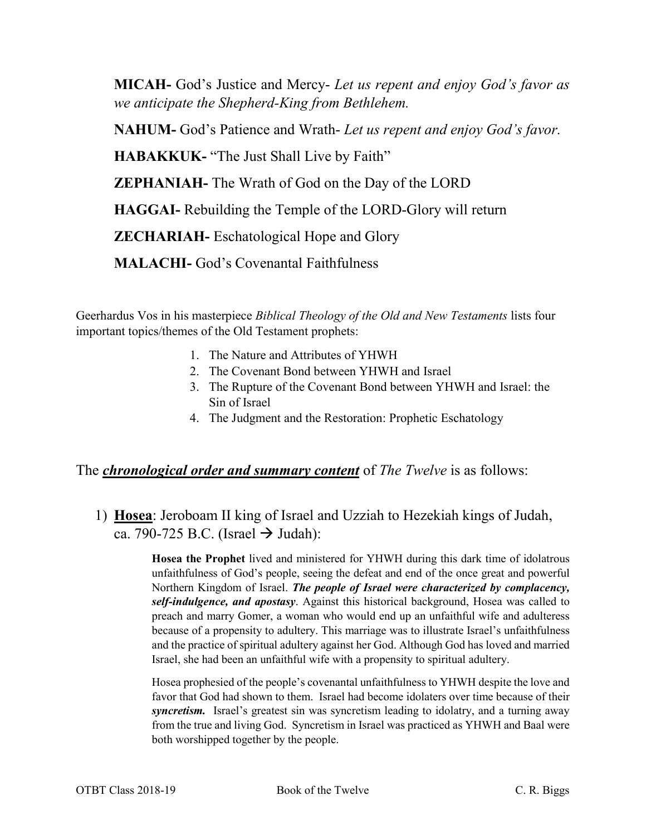**MICAH-** God's Justice and Mercy- *Let us repent and enjoy God's favor as we anticipate the Shepherd-King from Bethlehem.*

**NAHUM-** God's Patience and Wrath- *Let us repent and enjoy God's favor.*

**HABAKKUK-** "The Just Shall Live by Faith"

**ZEPHANIAH-** The Wrath of God on the Day of the LORD

**HAGGAI-** Rebuilding the Temple of the LORD-Glory will return

**ZECHARIAH-** Eschatological Hope and Glory

**MALACHI-** God's Covenantal Faithfulness

Geerhardus Vos in his masterpiece *Biblical Theology of the Old and New Testaments* lists four important topics/themes of the Old Testament prophets:

- 1. The Nature and Attributes of YHWH
- 2. The Covenant Bond between YHWH and Israel
- 3. The Rupture of the Covenant Bond between YHWH and Israel: the Sin of Israel
- 4. The Judgment and the Restoration: Prophetic Eschatology

# The *chronological order and summary content* of *The Twelve* is as follows:

1) **Hosea**: Jeroboam II king of Israel and Uzziah to Hezekiah kings of Judah, ca. 790-725 B.C. (Israel  $\rightarrow$  Judah):

> **Hosea the Prophet** lived and ministered for YHWH during this dark time of idolatrous unfaithfulness of God's people, seeing the defeat and end of the once great and powerful Northern Kingdom of Israel. *The people of Israel were characterized by complacency, self-indulgence, and apostasy*. Against this historical background, Hosea was called to preach and marry Gomer, a woman who would end up an unfaithful wife and adulteress because of a propensity to adultery. This marriage was to illustrate Israel's unfaithfulness and the practice of spiritual adultery against her God. Although God has loved and married Israel, she had been an unfaithful wife with a propensity to spiritual adultery.

> Hosea prophesied of the people's covenantal unfaithfulness to YHWH despite the love and favor that God had shown to them. Israel had become idolaters over time because of their *syncretism.* Israel's greatest sin was syncretism leading to idolatry, and a turning away from the true and living God. Syncretism in Israel was practiced as YHWH and Baal were both worshipped together by the people.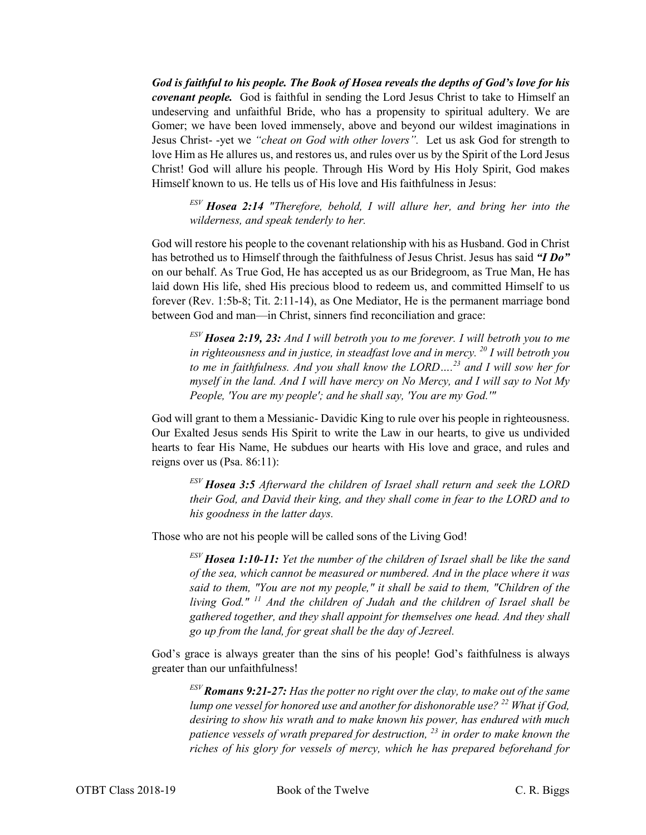*God is faithful to his people. The Book of Hosea reveals the depths of God's love for his covenant people.* God is faithful in sending the Lord Jesus Christ to take to Himself an undeserving and unfaithful Bride, who has a propensity to spiritual adultery. We are Gomer; we have been loved immensely, above and beyond our wildest imaginations in Jesus Christ- -yet we *"cheat on God with other lovers".* Let us ask God for strength to love Him as He allures us, and restores us, and rules over us by the Spirit of the Lord Jesus Christ! God will allure his people. Through His Word by His Holy Spirit, God makes Himself known to us. He tells us of His love and His faithfulness in Jesus:

*ESV Hosea 2:14 "Therefore, behold, I will allure her, and bring her into the wilderness, and speak tenderly to her.*

God will restore his people to the covenant relationship with his as Husband. God in Christ has betrothed us to Himself through the faithfulness of Jesus Christ. Jesus has said *"I Do"*  on our behalf. As True God, He has accepted us as our Bridegroom, as True Man, He has laid down His life, shed His precious blood to redeem us, and committed Himself to us forever (Rev. 1:5b-8; Tit. 2:11-14), as One Mediator, He is the permanent marriage bond between God and man—in Christ, sinners find reconciliation and grace:

*ESV Hosea 2:19, 23: And I will betroth you to me forever. I will betroth you to me in righteousness and in justice, in steadfast love and in mercy. 20 I will betroth you to me in faithfulness. And you shall know the LORD….<sup>23</sup> and I will sow her for myself in the land. And I will have mercy on No Mercy, and I will say to Not My People, 'You are my people'; and he shall say, 'You are my God.'"*

God will grant to them a Messianic- Davidic King to rule over his people in righteousness. Our Exalted Jesus sends His Spirit to write the Law in our hearts, to give us undivided hearts to fear His Name, He subdues our hearts with His love and grace, and rules and reigns over us (Psa. 86:11):

*ESV Hosea 3:5 Afterward the children of Israel shall return and seek the LORD their God, and David their king, and they shall come in fear to the LORD and to his goodness in the latter days.*

Those who are not his people will be called sons of the Living God!

*ESV Hosea 1:10-11: Yet the number of the children of Israel shall be like the sand of the sea, which cannot be measured or numbered. And in the place where it was said to them, "You are not my people," it shall be said to them, "Children of the living God." <sup>11</sup> And the children of Judah and the children of Israel shall be gathered together, and they shall appoint for themselves one head. And they shall go up from the land, for great shall be the day of Jezreel.*

God's grace is always greater than the sins of his people! God's faithfulness is always greater than our unfaithfulness!

*ESV Romans 9:21-27: Has the potter no right over the clay, to make out of the same lump one vessel for honored use and another for dishonorable use? 22 What if God, desiring to show his wrath and to make known his power, has endured with much patience vessels of wrath prepared for destruction, <sup>23</sup> in order to make known the riches of his glory for vessels of mercy, which he has prepared beforehand for*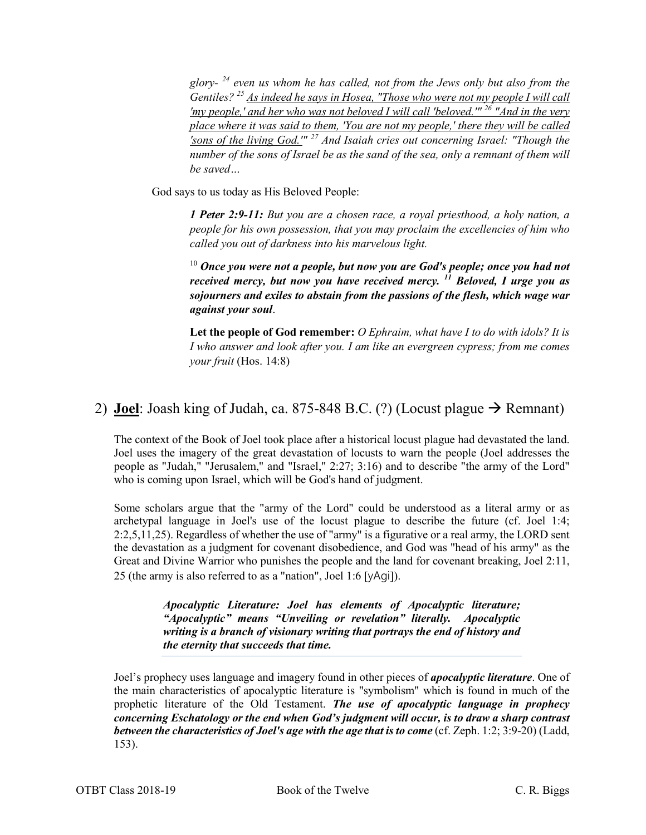*glory- <sup>24</sup> even us whom he has called, not from the Jews only but also from the Gentiles? 25 As indeed he says in Hosea, "Those who were not my people I will call 'my people,' and her who was not beloved I will call 'beloved.'" 26 "And in the very place where it was said to them, 'You are not my people,' there they will be called 'sons of the living God.'" <sup>27</sup> And Isaiah cries out concerning Israel: "Though the number of the sons of Israel be as the sand of the sea, only a remnant of them will be saved…*

God says to us today as His Beloved People:

*1 Peter 2:9-11: But you are a chosen race, a royal priesthood, a holy nation, a people for his own possession, that you may proclaim the excellencies of him who called you out of darkness into his marvelous light.* 

<sup>10</sup> Once you were not a people, but now you are God's people; once you had not *received mercy, but now you have received mercy. <sup>11</sup> Beloved, I urge you as sojourners and exiles to abstain from the passions of the flesh, which wage war against your soul*.

**Let the people of God remember:** *O Ephraim, what have I to do with idols? It is I who answer and look after you. I am like an evergreen cypress; from me comes your fruit* (Hos. 14:8)

# 2) **Joel**: Joash king of Judah, ca. 875-848 B.C. (?) (Locust plague  $\rightarrow$  Remnant)

The context of the Book of Joel took place after a historical locust plague had devastated the land. Joel uses the imagery of the great devastation of locusts to warn the people (Joel addresses the people as "Judah," "Jerusalem," and "Israel," 2:27; 3:16) and to describe "the army of the Lord" who is coming upon Israel, which will be God's hand of judgment.

Some scholars argue that the "army of the Lord" could be understood as a literal army or as archetypal language in Joel's use of the locust plague to describe the future (cf. Joel 1:4; 2:2,5,11,25). Regardless of whether the use of "army" is a figurative or a real army, the LORD sent the devastation as a judgment for covenant disobedience, and God was "head of his army" as the Great and Divine Warrior who punishes the people and the land for covenant breaking, Joel 2:11, 25 (the army is also referred to as a "nation", Joel 1:6 [yAgi]).

> *Apocalyptic Literature: Joel has elements of Apocalyptic literature; "Apocalyptic" means "Unveiling or revelation" literally. Apocalyptic writing is a branch of visionary writing that portrays the end of history and the eternity that succeeds that time.*

Joel's prophecy uses language and imagery found in other pieces of *apocalyptic literature*. One of the main characteristics of apocalyptic literature is "symbolism" which is found in much of the prophetic literature of the Old Testament. *The use of apocalyptic language in prophecy concerning Eschatology or the end when God's judgment will occur, is to draw a sharp contrast between the characteristics of Joel's age with the age that is to come* (cf. Zeph. 1:2; 3:9-20) (Ladd, 153).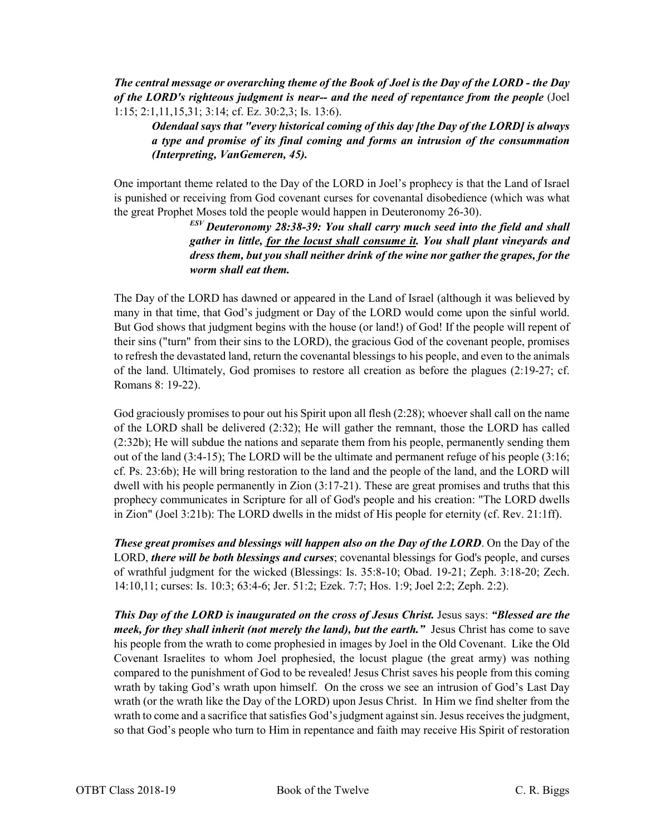*The central message or overarching theme of the Book of Joel is the Day of the LORD - the Day of the LORD's righteous judgment is near-- and the need of repentance from the people* (Joel 1:15; 2:1,11,15,31; 3:14; cf. Ez. 30:2,3; Is. 13:6).

*Odendaal says that "every historical coming of this day [the Day of the LORD] is always a type and promise of its final coming and forms an intrusion of the consummation (Interpreting, VanGemeren, 45).*

One important theme related to the Day of the LORD in Joel's prophecy is that the Land of Israel is punished or receiving from God covenant curses for covenantal disobedience (which was what the great Prophet Moses told the people would happen in Deuteronomy 26-30).

*ESV Deuteronomy 28:38-39: You shall carry much seed into the field and shall gather in little, for the locust shall consume it. You shall plant vineyards and dress them, but you shall neither drink of the wine nor gather the grapes, for the worm shall eat them.*

The Day of the LORD has dawned or appeared in the Land of Israel (although it was believed by many in that time, that God's judgment or Day of the LORD would come upon the sinful world. But God shows that judgment begins with the house (or land!) of God! If the people will repent of their sins ("turn" from their sins to the LORD), the gracious God of the covenant people, promises to refresh the devastated land, return the covenantal blessings to his people, and even to the animals of the land. Ultimately, God promises to restore all creation as before the plagues (2:19-27; cf. Romans 8: 19-22).

God graciously promises to pour out his Spirit upon all flesh (2:28); whoever shall call on the name of the LORD shall be delivered (2:32); He will gather the remnant, those the LORD has called (2:32b); He will subdue the nations and separate them from his people, permanently sending them out of the land (3:4-15); The LORD will be the ultimate and permanent refuge of his people (3:16; cf. Ps. 23:6b); He will bring restoration to the land and the people of the land, and the LORD will dwell with his people permanently in Zion (3:17-21). These are great promises and truths that this prophecy communicates in Scripture for all of God's people and his creation: "The LORD dwells in Zion" (Joel 3:21b): The LORD dwells in the midst of His people for eternity (cf. Rev. 21:1ff).

*These great promises and blessings will happen also on the Day of the LORD*. On the Day of the LORD, *there will be both blessings and curses*; covenantal blessings for God's people, and curses of wrathful judgment for the wicked (Blessings: Is. 35:8-10; Obad. 19-21; Zeph. 3:18-20; Zech. 14:10,11; curses: Is. 10:3; 63:4-6; Jer. 51:2; Ezek. 7:7; Hos. 1:9; Joel 2:2; Zeph. 2:2).

*This Day of the LORD is inaugurated on the cross of Jesus Christ.* Jesus says: *"Blessed are the meek, for they shall inherit (not merely the land), but the earth."* Jesus Christ has come to save his people from the wrath to come prophesied in images by Joel in the Old Covenant. Like the Old Covenant Israelites to whom Joel prophesied, the locust plague (the great army) was nothing compared to the punishment of God to be revealed! Jesus Christ saves his people from this coming wrath by taking God's wrath upon himself. On the cross we see an intrusion of God's Last Day wrath (or the wrath like the Day of the LORD) upon Jesus Christ. In Him we find shelter from the wrath to come and a sacrifice that satisfies God's judgment against sin. Jesus receives the judgment, so that God's people who turn to Him in repentance and faith may receive His Spirit of restoration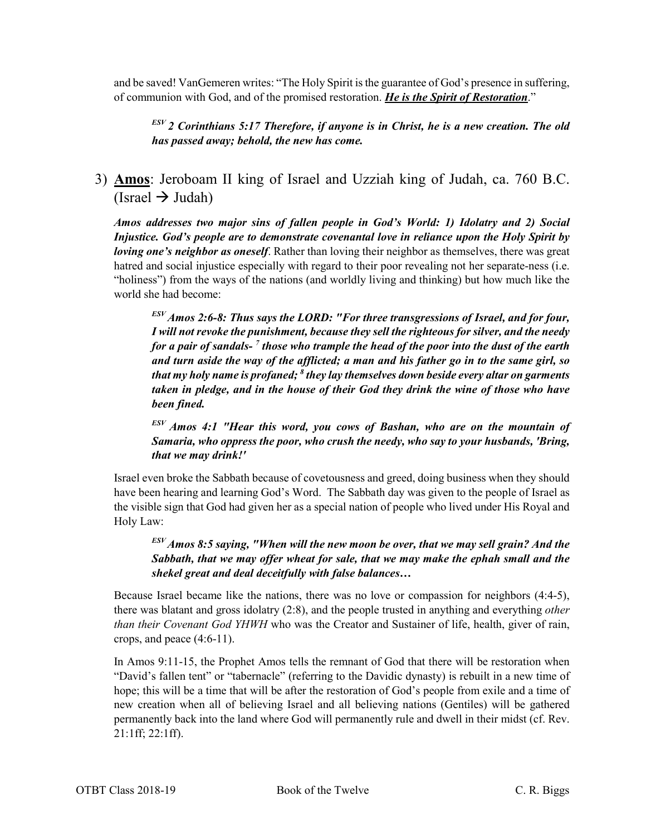and be saved! VanGemeren writes: "The Holy Spirit is the guarantee of God's presence in suffering, of communion with God, and of the promised restoration. *He is the Spirit of Restoration*."

*ESV 2 Corinthians 5:17 Therefore, if anyone is in Christ, he is a new creation. The old has passed away; behold, the new has come.*

3) **Amos**: Jeroboam II king of Israel and Uzziah king of Judah, ca. 760 B.C. (Israel  $\rightarrow$  Judah)

*Amos addresses two major sins of fallen people in God's World: 1) Idolatry and 2) Social Injustice. God's people are to demonstrate covenantal love in reliance upon the Holy Spirit by loving one's neighbor as oneself.* Rather than loving their neighbor as themselves, there was great hatred and social injustice especially with regard to their poor revealing not her separate-ness (i.e. "holiness") from the ways of the nations (and worldly living and thinking) but how much like the world she had become:

*ESV Amos 2:6-8: Thus says the LORD: "For three transgressions of Israel, and for four, I will not revoke the punishment, because they sell the righteous for silver, and the needy for a pair of sandals- <sup>7</sup> those who trample the head of the poor into the dust of the earth and turn aside the way of the afflicted; a man and his father go in to the same girl, so that my holy name is profaned; 8 they lay themselves down beside every altar on garments taken in pledge, and in the house of their God they drink the wine of those who have been fined.*

*ESV Amos 4:1 "Hear this word, you cows of Bashan, who are on the mountain of Samaria, who oppress the poor, who crush the needy, who say to your husbands, 'Bring, that we may drink!'*

Israel even broke the Sabbath because of covetousness and greed, doing business when they should have been hearing and learning God's Word. The Sabbath day was given to the people of Israel as the visible sign that God had given her as a special nation of people who lived under His Royal and Holy Law:

*ESV Amos 8:5 saying, "When will the new moon be over, that we may sell grain? And the Sabbath, that we may offer wheat for sale, that we may make the ephah small and the shekel great and deal deceitfully with false balances…*

Because Israel became like the nations, there was no love or compassion for neighbors (4:4-5), there was blatant and gross idolatry (2:8), and the people trusted in anything and everything *other than their Covenant God YHWH* who was the Creator and Sustainer of life, health, giver of rain, crops, and peace (4:6-11).

In Amos 9:11-15, the Prophet Amos tells the remnant of God that there will be restoration when "David's fallen tent" or "tabernacle" (referring to the Davidic dynasty) is rebuilt in a new time of hope; this will be a time that will be after the restoration of God's people from exile and a time of new creation when all of believing Israel and all believing nations (Gentiles) will be gathered permanently back into the land where God will permanently rule and dwell in their midst (cf. Rev. 21:1ff; 22:1ff).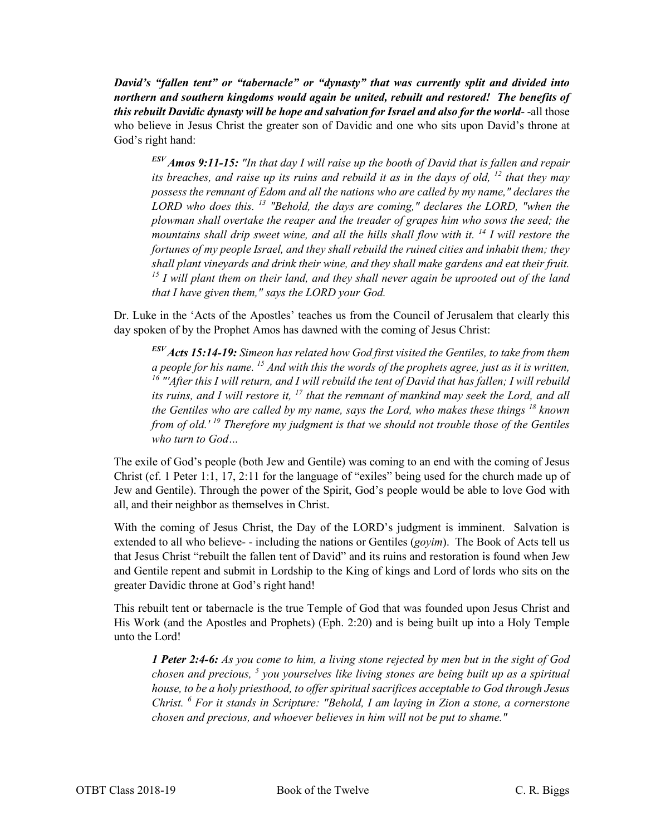*David's "fallen tent" or "tabernacle" or "dynasty" that was currently split and divided into northern and southern kingdoms would again be united, rebuilt and restored! The benefits of this rebuilt Davidic dynasty will be hope and salvation for Israel and also for the world*- -all those who believe in Jesus Christ the greater son of Davidic and one who sits upon David's throne at God's right hand:

*ESV Amos 9:11-15: "In that day I will raise up the booth of David that is fallen and repair its breaches, and raise up its ruins and rebuild it as in the days of old, <sup>12</sup> that they may possess the remnant of Edom and all the nations who are called by my name," declares the LORD who does this. <sup>13</sup> "Behold, the days are coming," declares the LORD, "when the plowman shall overtake the reaper and the treader of grapes him who sows the seed; the mountains shall drip sweet wine, and all the hills shall flow with it. <sup>14</sup> I will restore the fortunes of my people Israel, and they shall rebuild the ruined cities and inhabit them; they shall plant vineyards and drink their wine, and they shall make gardens and eat their fruit. <sup>15</sup> I will plant them on their land, and they shall never again be uprooted out of the land that I have given them," says the LORD your God.*

Dr. Luke in the 'Acts of the Apostles' teaches us from the Council of Jerusalem that clearly this day spoken of by the Prophet Amos has dawned with the coming of Jesus Christ:

*ESV Acts 15:14-19: Simeon has related how God first visited the Gentiles, to take from them a people for his name. 15 And with this the words of the prophets agree, just as it is written, <sup>16</sup> "'After this I will return, and I will rebuild the tent of David that has fallen; I will rebuild its ruins, and I will restore it, <sup>17</sup> that the remnant of mankind may seek the Lord, and all the Gentiles who are called by my name, says the Lord, who makes these things <sup>18</sup> known from of old.' <sup>19</sup> Therefore my judgment is that we should not trouble those of the Gentiles who turn to God…*

The exile of God's people (both Jew and Gentile) was coming to an end with the coming of Jesus Christ (cf. 1 Peter 1:1, 17, 2:11 for the language of "exiles" being used for the church made up of Jew and Gentile). Through the power of the Spirit, God's people would be able to love God with all, and their neighbor as themselves in Christ.

With the coming of Jesus Christ, the Day of the LORD's judgment is imminent. Salvation is extended to all who believe- - including the nations or Gentiles (*goyim*). The Book of Acts tell us that Jesus Christ "rebuilt the fallen tent of David" and its ruins and restoration is found when Jew and Gentile repent and submit in Lordship to the King of kings and Lord of lords who sits on the greater Davidic throne at God's right hand!

This rebuilt tent or tabernacle is the true Temple of God that was founded upon Jesus Christ and His Work (and the Apostles and Prophets) (Eph. 2:20) and is being built up into a Holy Temple unto the Lord!

*1 Peter 2:4-6: As you come to him, a living stone rejected by men but in the sight of God chosen and precious, <sup>5</sup> you yourselves like living stones are being built up as a spiritual house, to be a holy priesthood, to offer spiritual sacrifices acceptable to God through Jesus Christ. <sup>6</sup> For it stands in Scripture: "Behold, I am laying in Zion a stone, a cornerstone chosen and precious, and whoever believes in him will not be put to shame."*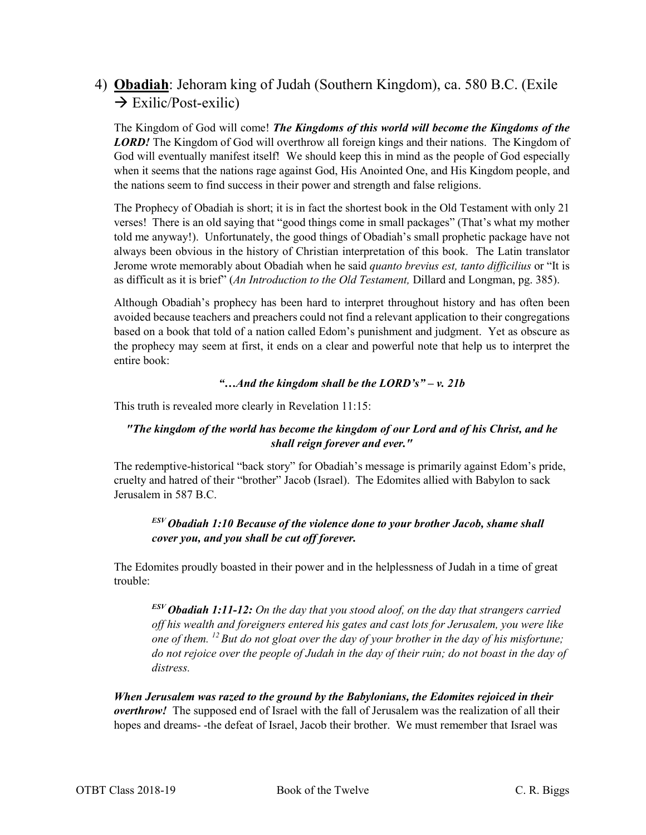# 4) **Obadiah**: Jehoram king of Judah (Southern Kingdom), ca. 580 B.C. (Exile  $\rightarrow$  Exilic/Post-exilic)

The Kingdom of God will come! *The Kingdoms of this world will become the Kingdoms of the*  **LORD!** The Kingdom of God will overthrow all foreign kings and their nations. The Kingdom of God will eventually manifest itself! We should keep this in mind as the people of God especially when it seems that the nations rage against God, His Anointed One, and His Kingdom people, and the nations seem to find success in their power and strength and false religions.

The Prophecy of Obadiah is short; it is in fact the shortest book in the Old Testament with only 21 verses! There is an old saying that "good things come in small packages" (That's what my mother told me anyway!). Unfortunately, the good things of Obadiah's small prophetic package have not always been obvious in the history of Christian interpretation of this book. The Latin translator Jerome wrote memorably about Obadiah when he said *quanto brevius est, tanto difficilius* or "It is as difficult as it is brief" (*An Introduction to the Old Testament,* Dillard and Longman, pg. 385).

Although Obadiah's prophecy has been hard to interpret throughout history and has often been avoided because teachers and preachers could not find a relevant application to their congregations based on a book that told of a nation called Edom's punishment and judgment. Yet as obscure as the prophecy may seem at first, it ends on a clear and powerful note that help us to interpret the entire book:

#### *"…And the kingdom shall be the LORD's" – v. 21b*

This truth is revealed more clearly in Revelation 11:15:

#### *"The kingdom of the world has become the kingdom of our Lord and of his Christ, and he shall reign forever and ever."*

The redemptive-historical "back story" for Obadiah's message is primarily against Edom's pride, cruelty and hatred of their "brother" Jacob (Israel). The Edomites allied with Babylon to sack Jerusalem in 587 B.C.

## *ESV Obadiah 1:10 Because of the violence done to your brother Jacob, shame shall cover you, and you shall be cut off forever.*

The Edomites proudly boasted in their power and in the helplessness of Judah in a time of great trouble:

*ESV Obadiah 1:11-12: On the day that you stood aloof, on the day that strangers carried off his wealth and foreigners entered his gates and cast lots for Jerusalem, you were like one of them. 12 But do not gloat over the day of your brother in the day of his misfortune; do not rejoice over the people of Judah in the day of their ruin; do not boast in the day of distress.*

*When Jerusalem was razed to the ground by the Babylonians, the Edomites rejoiced in their overthrow!* The supposed end of Israel with the fall of Jerusalem was the realization of all their hopes and dreams- -the defeat of Israel, Jacob their brother. We must remember that Israel was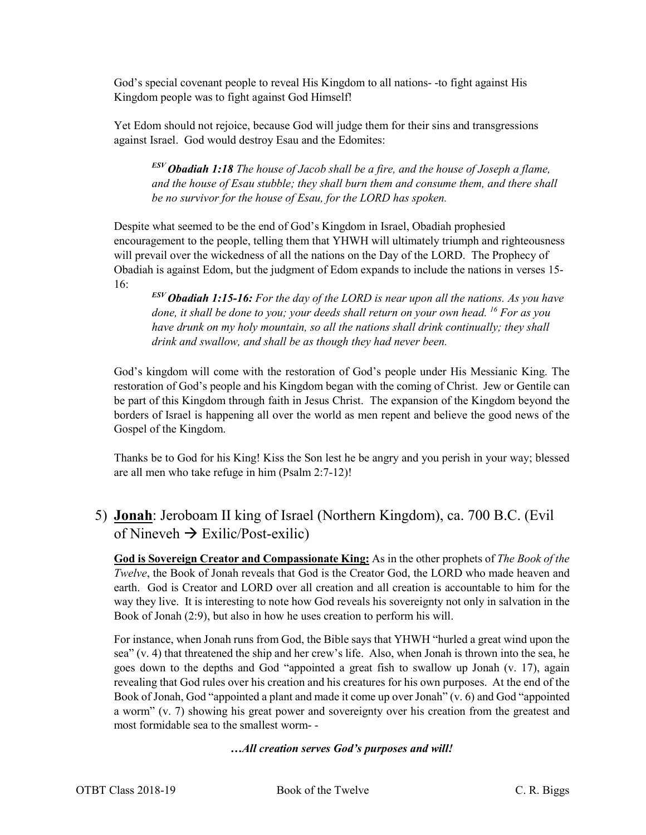God's special covenant people to reveal His Kingdom to all nations- -to fight against His Kingdom people was to fight against God Himself!

Yet Edom should not rejoice, because God will judge them for their sins and transgressions against Israel. God would destroy Esau and the Edomites:

*ESV Obadiah 1:18 The house of Jacob shall be a fire, and the house of Joseph a flame, and the house of Esau stubble; they shall burn them and consume them, and there shall be no survivor for the house of Esau, for the LORD has spoken.*

Despite what seemed to be the end of God's Kingdom in Israel, Obadiah prophesied encouragement to the people, telling them that YHWH will ultimately triumph and righteousness will prevail over the wickedness of all the nations on the Day of the LORD. The Prophecy of Obadiah is against Edom, but the judgment of Edom expands to include the nations in verses 15- 16:

*ESV Obadiah 1:15-16: For the day of the LORD is near upon all the nations. As you have done, it shall be done to you; your deeds shall return on your own head. <sup>16</sup> For as you have drunk on my holy mountain, so all the nations shall drink continually; they shall drink and swallow, and shall be as though they had never been.*

God's kingdom will come with the restoration of God's people under His Messianic King. The restoration of God's people and his Kingdom began with the coming of Christ. Jew or Gentile can be part of this Kingdom through faith in Jesus Christ. The expansion of the Kingdom beyond the borders of Israel is happening all over the world as men repent and believe the good news of the Gospel of the Kingdom.

Thanks be to God for his King! Kiss the Son lest he be angry and you perish in your way; blessed are all men who take refuge in him (Psalm 2:7-12)!

# 5) **Jonah**: Jeroboam II king of Israel (Northern Kingdom), ca. 700 B.C. (Evil of Nineveh  $\rightarrow$  Exilic/Post-exilic)

**God is Sovereign Creator and Compassionate King:** As in the other prophets of *The Book of the Twelve*, the Book of Jonah reveals that God is the Creator God, the LORD who made heaven and earth. God is Creator and LORD over all creation and all creation is accountable to him for the way they live. It is interesting to note how God reveals his sovereignty not only in salvation in the Book of Jonah (2:9), but also in how he uses creation to perform his will.

For instance, when Jonah runs from God, the Bible says that YHWH "hurled a great wind upon the sea" (v. 4) that threatened the ship and her crew's life. Also, when Jonah is thrown into the sea, he goes down to the depths and God "appointed a great fish to swallow up Jonah (v. 17), again revealing that God rules over his creation and his creatures for his own purposes. At the end of the Book of Jonah, God "appointed a plant and made it come up over Jonah" (v. 6) and God "appointed a worm" (v. 7) showing his great power and sovereignty over his creation from the greatest and most formidable sea to the smallest worm- -

*…All creation serves God's purposes and will!*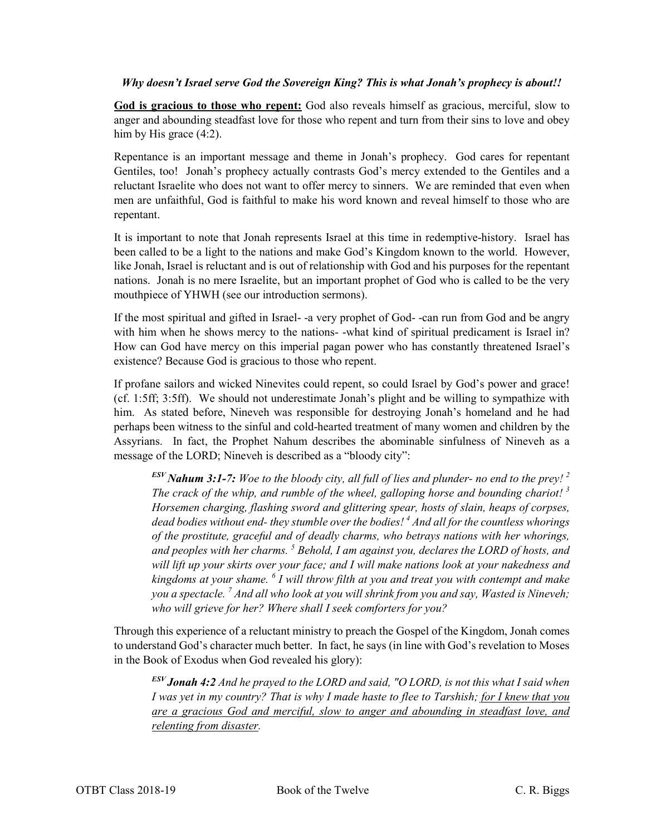#### *Why doesn't Israel serve God the Sovereign King? This is what Jonah's prophecy is about!!*

**God is gracious to those who repent:** God also reveals himself as gracious, merciful, slow to anger and abounding steadfast love for those who repent and turn from their sins to love and obey him by His grace  $(4:2)$ .

Repentance is an important message and theme in Jonah's prophecy. God cares for repentant Gentiles, too! Jonah's prophecy actually contrasts God's mercy extended to the Gentiles and a reluctant Israelite who does not want to offer mercy to sinners. We are reminded that even when men are unfaithful, God is faithful to make his word known and reveal himself to those who are repentant.

It is important to note that Jonah represents Israel at this time in redemptive-history. Israel has been called to be a light to the nations and make God's Kingdom known to the world. However, like Jonah, Israel is reluctant and is out of relationship with God and his purposes for the repentant nations. Jonah is no mere Israelite, but an important prophet of God who is called to be the very mouthpiece of YHWH (see our introduction sermons).

If the most spiritual and gifted in Israel- -a very prophet of God- -can run from God and be angry with him when he shows mercy to the nations--what kind of spiritual predicament is Israel in? How can God have mercy on this imperial pagan power who has constantly threatened Israel's existence? Because God is gracious to those who repent.

If profane sailors and wicked Ninevites could repent, so could Israel by God's power and grace! (cf. 1:5ff; 3:5ff). We should not underestimate Jonah's plight and be willing to sympathize with him. As stated before, Nineveh was responsible for destroying Jonah's homeland and he had perhaps been witness to the sinful and cold-hearted treatment of many women and children by the Assyrians. In fact, the Prophet Nahum describes the abominable sinfulness of Nineveh as a message of the LORD; Nineveh is described as a "bloody city":

*ESV Nahum 3:1-7: Woe to the bloody city, all full of lies and plunder- no end to the prey! 2 The crack of the whip, and rumble of the wheel, galloping horse and bounding chariot! <sup>3</sup> Horsemen charging, flashing sword and glittering spear, hosts of slain, heaps of corpses, dead bodies without end- they stumble over the bodies! 4 And all for the countless whorings of the prostitute, graceful and of deadly charms, who betrays nations with her whorings, and peoples with her charms. 5 Behold, I am against you, declares the LORD of hosts, and will lift up your skirts over your face; and I will make nations look at your nakedness and kingdoms at your shame. <sup>6</sup> I will throw filth at you and treat you with contempt and make you a spectacle. 7 And all who look at you will shrink from you and say, Wasted is Nineveh; who will grieve for her? Where shall I seek comforters for you?*

Through this experience of a reluctant ministry to preach the Gospel of the Kingdom, Jonah comes to understand God's character much better. In fact, he says (in line with God's revelation to Moses in the Book of Exodus when God revealed his glory):

*ESV Jonah 4:2 And he prayed to the LORD and said, "O LORD, is not this what I said when I was yet in my country? That is why I made haste to flee to Tarshish; for I knew that you are a gracious God and merciful, slow to anger and abounding in steadfast love, and relenting from disaster.*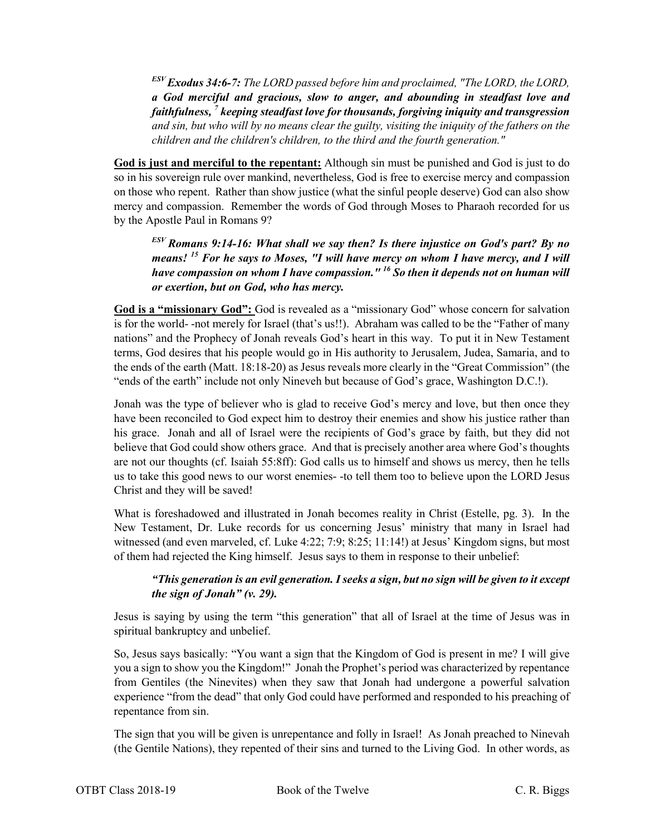*ESV Exodus 34:6-7: The LORD passed before him and proclaimed, "The LORD, the LORD, a God merciful and gracious, slow to anger, and abounding in steadfast love and faithfulness, 7 keeping steadfast love for thousands, forgiving iniquity and transgression and sin, but who will by no means clear the guilty, visiting the iniquity of the fathers on the children and the children's children, to the third and the fourth generation."*

**God is just and merciful to the repentant:** Although sin must be punished and God is just to do so in his sovereign rule over mankind, nevertheless, God is free to exercise mercy and compassion on those who repent. Rather than show justice (what the sinful people deserve) God can also show mercy and compassion. Remember the words of God through Moses to Pharaoh recorded for us by the Apostle Paul in Romans 9?

*ESV Romans 9:14-16: What shall we say then? Is there injustice on God's part? By no means! <sup>15</sup> For he says to Moses, "I will have mercy on whom I have mercy, and I will have compassion on whom I have compassion." 16 So then it depends not on human will or exertion, but on God, who has mercy.*

**God is a "missionary God":** God is revealed as a "missionary God" whose concern for salvation is for the world- -not merely for Israel (that's us!!). Abraham was called to be the "Father of many nations" and the Prophecy of Jonah reveals God's heart in this way. To put it in New Testament terms, God desires that his people would go in His authority to Jerusalem, Judea, Samaria, and to the ends of the earth (Matt. 18:18-20) as Jesus reveals more clearly in the "Great Commission" (the "ends of the earth" include not only Nineveh but because of God's grace, Washington D.C.!).

Jonah was the type of believer who is glad to receive God's mercy and love, but then once they have been reconciled to God expect him to destroy their enemies and show his justice rather than his grace. Jonah and all of Israel were the recipients of God's grace by faith, but they did not believe that God could show others grace. And that is precisely another area where God's thoughts are not our thoughts (cf. Isaiah 55:8ff): God calls us to himself and shows us mercy, then he tells us to take this good news to our worst enemies- -to tell them too to believe upon the LORD Jesus Christ and they will be saved!

What is foreshadowed and illustrated in Jonah becomes reality in Christ (Estelle, pg. 3). In the New Testament, Dr. Luke records for us concerning Jesus' ministry that many in Israel had witnessed (and even marveled, cf. Luke 4:22; 7:9; 8:25; 11:14!) at Jesus' Kingdom signs, but most of them had rejected the King himself. Jesus says to them in response to their unbelief:

#### *"This generation is an evil generation. I seeks a sign, but no sign will be given to it except the sign of Jonah" (v. 29).*

Jesus is saying by using the term "this generation" that all of Israel at the time of Jesus was in spiritual bankruptcy and unbelief.

So, Jesus says basically: "You want a sign that the Kingdom of God is present in me? I will give you a sign to show you the Kingdom!" Jonah the Prophet's period was characterized by repentance from Gentiles (the Ninevites) when they saw that Jonah had undergone a powerful salvation experience "from the dead" that only God could have performed and responded to his preaching of repentance from sin.

The sign that you will be given is unrepentance and folly in Israel! As Jonah preached to Ninevah (the Gentile Nations), they repented of their sins and turned to the Living God. In other words, as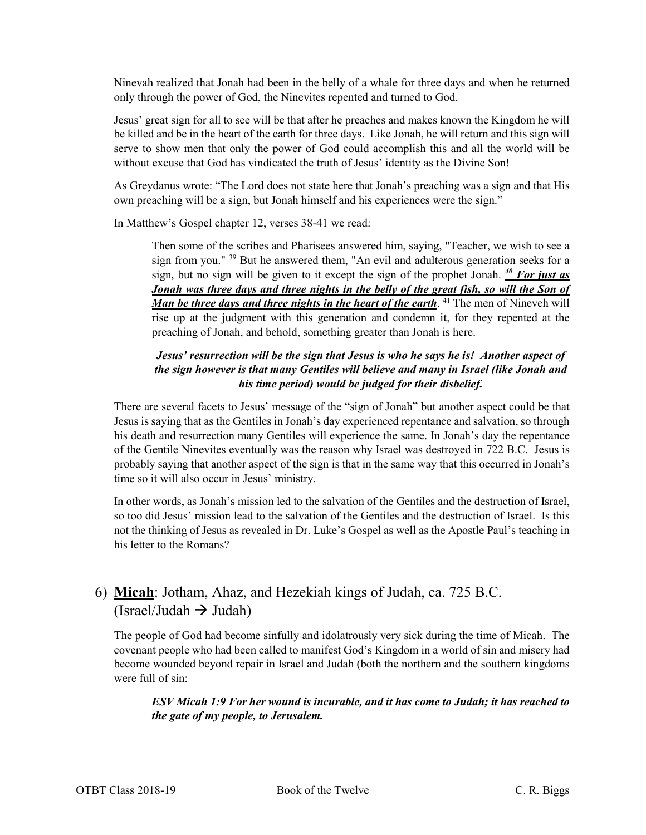Ninevah realized that Jonah had been in the belly of a whale for three days and when he returned only through the power of God, the Ninevites repented and turned to God.

Jesus' great sign for all to see will be that after he preaches and makes known the Kingdom he will be killed and be in the heart of the earth for three days. Like Jonah, he will return and this sign will serve to show men that only the power of God could accomplish this and all the world will be without excuse that God has vindicated the truth of Jesus' identity as the Divine Son!

As Greydanus wrote: "The Lord does not state here that Jonah's preaching was a sign and that His own preaching will be a sign, but Jonah himself and his experiences were the sign."

In Matthew's Gospel chapter 12, verses 38-41 we read:

Then some of the scribes and Pharisees answered him, saying, "Teacher, we wish to see a sign from you." <sup>39</sup> But he answered them, "An evil and adulterous generation seeks for a sign, but no sign will be given to it except the sign of the prophet Jonah. *<sup>40</sup> For just as Jonah was three days and three nights in the belly of the great fish, so will the Son of Man be three days and three nights in the heart of the earth*. <sup>41</sup> The men of Nineveh will rise up at the judgment with this generation and condemn it, for they repented at the preaching of Jonah, and behold, something greater than Jonah is here.

#### *Jesus' resurrection will be the sign that Jesus is who he says he is! Another aspect of the sign however is that many Gentiles will believe and many in Israel (like Jonah and his time period) would be judged for their disbelief.*

There are several facets to Jesus' message of the "sign of Jonah" but another aspect could be that Jesus is saying that as the Gentiles in Jonah's day experienced repentance and salvation, so through his death and resurrection many Gentiles will experience the same. In Jonah's day the repentance of the Gentile Ninevites eventually was the reason why Israel was destroyed in 722 B.C. Jesus is probably saying that another aspect of the sign is that in the same way that this occurred in Jonah's time so it will also occur in Jesus' ministry.

In other words, as Jonah's mission led to the salvation of the Gentiles and the destruction of Israel, so too did Jesus' mission lead to the salvation of the Gentiles and the destruction of Israel. Is this not the thinking of Jesus as revealed in Dr. Luke's Gospel as well as the Apostle Paul's teaching in his letter to the Romans?

# 6) **Micah**: Jotham, Ahaz, and Hezekiah kings of Judah, ca. 725 B.C. (Israel/Judah  $\rightarrow$  Judah)

The people of God had become sinfully and idolatrously very sick during the time of Micah. The covenant people who had been called to manifest God's Kingdom in a world of sin and misery had become wounded beyond repair in Israel and Judah (both the northern and the southern kingdoms were full of sin:

*ESV Micah 1:9 For her wound is incurable, and it has come to Judah; it has reached to the gate of my people, to Jerusalem.*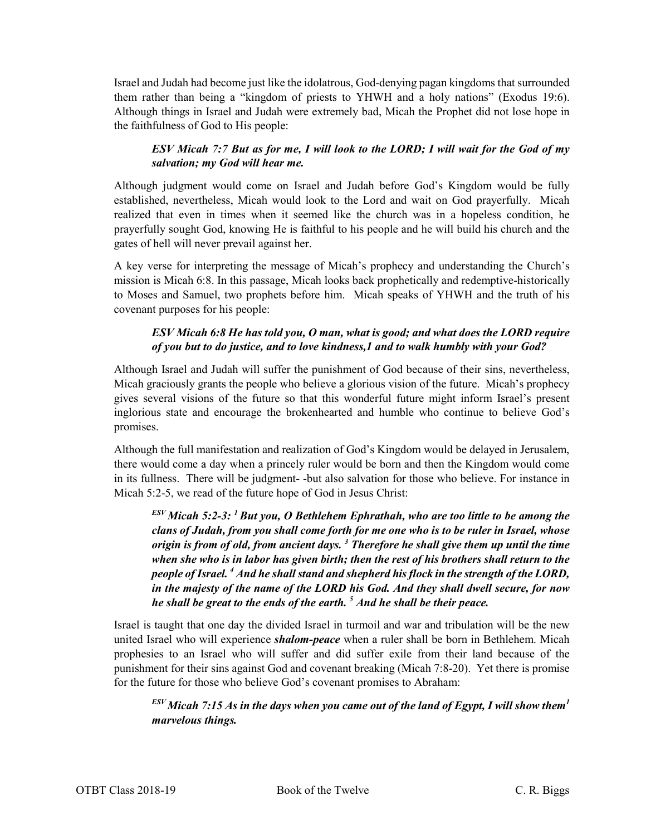Israel and Judah had become just like the idolatrous, God-denying pagan kingdoms that surrounded them rather than being a "kingdom of priests to YHWH and a holy nations" (Exodus 19:6). Although things in Israel and Judah were extremely bad, Micah the Prophet did not lose hope in the faithfulness of God to His people:

#### *ESV Micah 7:7 But as for me, I will look to the LORD; I will wait for the God of my salvation; my God will hear me.*

Although judgment would come on Israel and Judah before God's Kingdom would be fully established, nevertheless, Micah would look to the Lord and wait on God prayerfully. Micah realized that even in times when it seemed like the church was in a hopeless condition, he prayerfully sought God, knowing He is faithful to his people and he will build his church and the gates of hell will never prevail against her.

A key verse for interpreting the message of Micah's prophecy and understanding the Church's mission is Micah 6:8. In this passage, Micah looks back prophetically and redemptive-historically to Moses and Samuel, two prophets before him. Micah speaks of YHWH and the truth of his covenant purposes for his people:

#### *ESV Micah 6:8 He has told you, O man, what is good; and what does the LORD require of you but to do justice, and to love kindness,1 and to walk humbly with your God?*

Although Israel and Judah will suffer the punishment of God because of their sins, nevertheless, Micah graciously grants the people who believe a glorious vision of the future. Micah's prophecy gives several visions of the future so that this wonderful future might inform Israel's present inglorious state and encourage the brokenhearted and humble who continue to believe God's promises.

Although the full manifestation and realization of God's Kingdom would be delayed in Jerusalem, there would come a day when a princely ruler would be born and then the Kingdom would come in its fullness. There will be judgment- -but also salvation for those who believe. For instance in Micah 5:2-5, we read of the future hope of God in Jesus Christ:

*ESV Micah 5:2-3: 1 But you, O Bethlehem Ephrathah, who are too little to be among the clans of Judah, from you shall come forth for me one who is to be ruler in Israel, whose origin is from of old, from ancient days. 3 Therefore he shall give them up until the time when she who is in labor has given birth; then the rest of his brothers shall return to the people of Israel. 4 And he shall stand and shepherd his flock in the strength of the LORD, in the majesty of the name of the LORD his God. And they shall dwell secure, for now he shall be great to the ends of the earth. 5 And he shall be their peace.*

Israel is taught that one day the divided Israel in turmoil and war and tribulation will be the new united Israel who will experience *shalom-peace* when a ruler shall be born in Bethlehem. Micah prophesies to an Israel who will suffer and did suffer exile from their land because of the punishment for their sins against God and covenant breaking (Micah 7:8-20). Yet there is promise for the future for those who believe God's covenant promises to Abraham:

*ESV Micah 7:15 As in the days when you came out of the land of Egypt, I will show them<sup>1</sup> marvelous things.*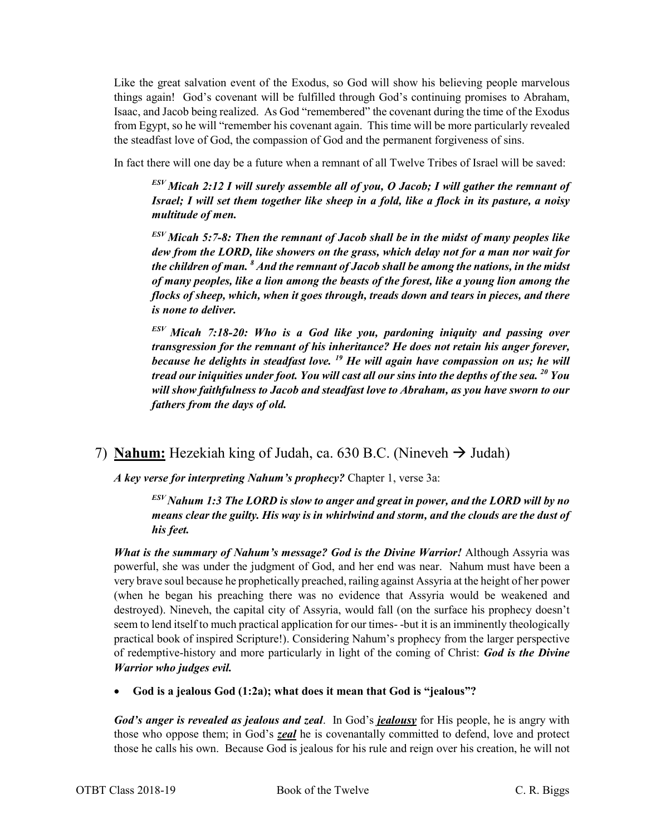Like the great salvation event of the Exodus, so God will show his believing people marvelous things again! God's covenant will be fulfilled through God's continuing promises to Abraham, Isaac, and Jacob being realized. As God "remembered" the covenant during the time of the Exodus from Egypt, so he will "remember his covenant again. This time will be more particularly revealed the steadfast love of God, the compassion of God and the permanent forgiveness of sins.

In fact there will one day be a future when a remnant of all Twelve Tribes of Israel will be saved:

*ESV Micah 2:12 I will surely assemble all of you, O Jacob; I will gather the remnant of Israel; I will set them together like sheep in a fold, like a flock in its pasture, a noisy multitude of men.*

*ESV Micah 5:7-8: Then the remnant of Jacob shall be in the midst of many peoples like dew from the LORD, like showers on the grass, which delay not for a man nor wait for the children of man. 8 And the remnant of Jacob shall be among the nations, in the midst of many peoples, like a lion among the beasts of the forest, like a young lion among the flocks of sheep, which, when it goes through, treads down and tears in pieces, and there is none to deliver.*

*ESV Micah 7:18-20: Who is a God like you, pardoning iniquity and passing over transgression for the remnant of his inheritance? He does not retain his anger forever, because he delights in steadfast love. <sup>19</sup> He will again have compassion on us; he will tread our iniquities under foot. You will cast all our sins into the depths of the sea. 20 You will show faithfulness to Jacob and steadfast love to Abraham, as you have sworn to our fathers from the days of old.*

# 7) **Nahum:** Hezekiah king of Judah, ca. 630 B.C. (Nineveh  $\rightarrow$  Judah)

*A key verse for interpreting Nahum's prophecy?* Chapter 1, verse 3a:

*ESV Nahum 1:3 The LORD is slow to anger and great in power, and the LORD will by no means clear the guilty. His way is in whirlwind and storm, and the clouds are the dust of his feet.*

*What is the summary of Nahum's message? God is the Divine Warrior!* Although Assyria was powerful, she was under the judgment of God, and her end was near. Nahum must have been a very brave soul because he prophetically preached, railing against Assyria at the height of her power (when he began his preaching there was no evidence that Assyria would be weakened and destroyed). Nineveh, the capital city of Assyria, would fall (on the surface his prophecy doesn't seem to lend itself to much practical application for our times- -but it is an imminently theologically practical book of inspired Scripture!). Considering Nahum's prophecy from the larger perspective of redemptive-history and more particularly in light of the coming of Christ: *God is the Divine Warrior who judges evil.*

• **God is a jealous God (1:2a); what does it mean that God is "jealous"?**

*God's anger is revealed as jealous and zeal*. In God's *jealousy* for His people, he is angry with those who oppose them; in God's *zeal* he is covenantally committed to defend, love and protect those he calls his own. Because God is jealous for his rule and reign over his creation, he will not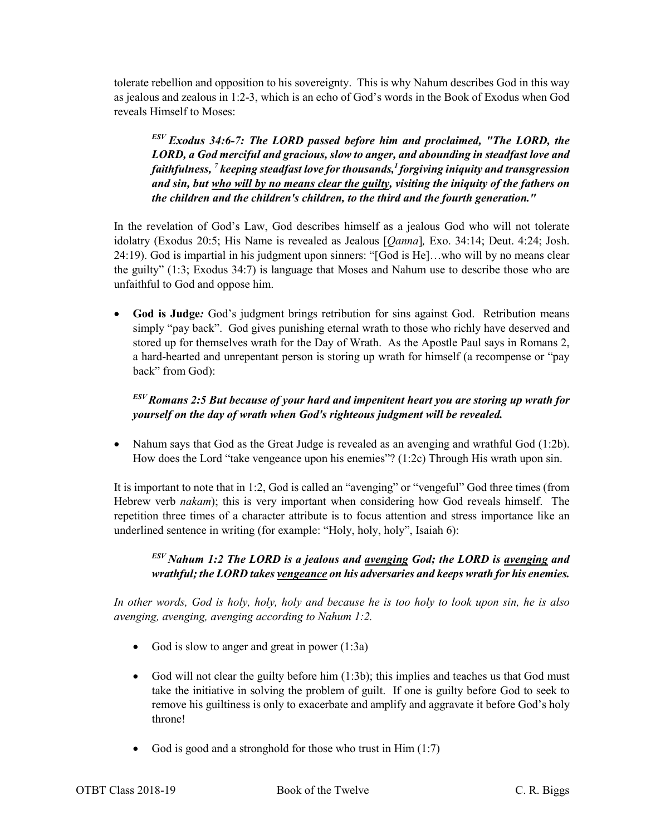tolerate rebellion and opposition to his sovereignty. This is why Nahum describes God in this way as jealous and zealous in 1:2-3, which is an echo of God's words in the Book of Exodus when God reveals Himself to Moses:

*ESV Exodus 34:6-7: The LORD passed before him and proclaimed, "The LORD, the LORD, a God merciful and gracious, slow to anger, and abounding in steadfast love and faithfulness, 7 keeping steadfast love for thousands,1 forgiving iniquity and transgression and sin, but who will by no means clear the guilty, visiting the iniquity of the fathers on the children and the children's children, to the third and the fourth generation."*

In the revelation of God's Law, God describes himself as a jealous God who will not tolerate idolatry (Exodus 20:5; His Name is revealed as Jealous [*Qanna*]*,* Exo. 34:14; Deut. 4:24; Josh. 24:19). God is impartial in his judgment upon sinners: "[God is He]…who will by no means clear the guilty" (1:3; Exodus 34:7) is language that Moses and Nahum use to describe those who are unfaithful to God and oppose him.

• **God is Judge***:* God's judgment brings retribution for sins against God. Retribution means simply "pay back". God gives punishing eternal wrath to those who richly have deserved and stored up for themselves wrath for the Day of Wrath. As the Apostle Paul says in Romans 2, a hard-hearted and unrepentant person is storing up wrath for himself (a recompense or "pay back" from God):

*ESV Romans 2:5 But because of your hard and impenitent heart you are storing up wrath for yourself on the day of wrath when God's righteous judgment will be revealed.*

• Nahum says that God as the Great Judge is revealed as an avenging and wrathful God (1:2b). How does the Lord "take vengeance upon his enemies"? (1:2c) Through His wrath upon sin.

It is important to note that in 1:2, God is called an "avenging" or "vengeful" God three times (from Hebrew verb *nakam*); this is very important when considering how God reveals himself. The repetition three times of a character attribute is to focus attention and stress importance like an underlined sentence in writing (for example: "Holy, holy, holy", Isaiah 6):

#### *ESV Nahum 1:2 The LORD is a jealous and avenging God; the LORD is avenging and wrathful; the LORD takes vengeance on his adversaries and keeps wrath for his enemies.*

*In other words, God is holy, holy, holy and because he is too holy to look upon sin, he is also avenging, avenging, avenging according to Nahum 1:2.*

- God is slow to anger and great in power (1:3a)
- God will not clear the guilty before him (1:3b); this implies and teaches us that God must take the initiative in solving the problem of guilt. If one is guilty before God to seek to remove his guiltiness is only to exacerbate and amplify and aggravate it before God's holy throne!
- God is good and a stronghold for those who trust in  $\text{Him}(1:7)$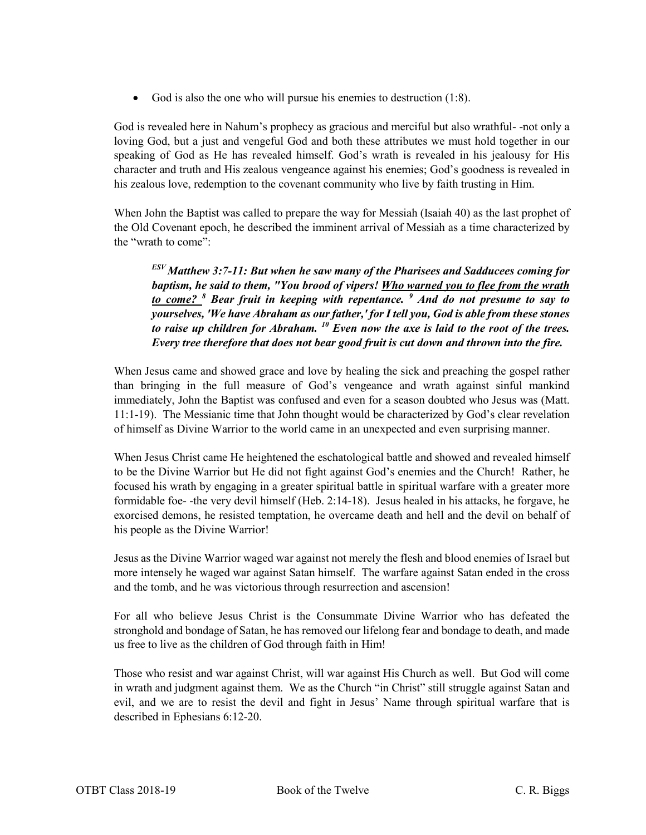God is also the one who will pursue his enemies to destruction (1:8).

God is revealed here in Nahum's prophecy as gracious and merciful but also wrathful- -not only a loving God, but a just and vengeful God and both these attributes we must hold together in our speaking of God as He has revealed himself. God's wrath is revealed in his jealousy for His character and truth and His zealous vengeance against his enemies; God's goodness is revealed in his zealous love, redemption to the covenant community who live by faith trusting in Him.

When John the Baptist was called to prepare the way for Messiah (Isaiah 40) as the last prophet of the Old Covenant epoch, he described the imminent arrival of Messiah as a time characterized by the "wrath to come":

*ESV Matthew 3:7-11: But when he saw many of the Pharisees and Sadducees coming for baptism, he said to them, "You brood of vipers! Who warned you to flee from the wrath to come? <sup>8</sup> Bear fruit in keeping with repentance. <sup>9</sup> And do not presume to say to yourselves, 'We have Abraham as our father,' for I tell you, God is able from these stones to raise up children for Abraham. <sup>10</sup> Even now the axe is laid to the root of the trees. Every tree therefore that does not bear good fruit is cut down and thrown into the fire.*

When Jesus came and showed grace and love by healing the sick and preaching the gospel rather than bringing in the full measure of God's vengeance and wrath against sinful mankind immediately, John the Baptist was confused and even for a season doubted who Jesus was (Matt. 11:1-19). The Messianic time that John thought would be characterized by God's clear revelation of himself as Divine Warrior to the world came in an unexpected and even surprising manner.

When Jesus Christ came He heightened the eschatological battle and showed and revealed himself to be the Divine Warrior but He did not fight against God's enemies and the Church! Rather, he focused his wrath by engaging in a greater spiritual battle in spiritual warfare with a greater more formidable foe- -the very devil himself (Heb. 2:14-18). Jesus healed in his attacks, he forgave, he exorcised demons, he resisted temptation, he overcame death and hell and the devil on behalf of his people as the Divine Warrior!

Jesus as the Divine Warrior waged war against not merely the flesh and blood enemies of Israel but more intensely he waged war against Satan himself. The warfare against Satan ended in the cross and the tomb, and he was victorious through resurrection and ascension!

For all who believe Jesus Christ is the Consummate Divine Warrior who has defeated the stronghold and bondage of Satan, he has removed our lifelong fear and bondage to death, and made us free to live as the children of God through faith in Him!

Those who resist and war against Christ, will war against His Church as well. But God will come in wrath and judgment against them. We as the Church "in Christ" still struggle against Satan and evil, and we are to resist the devil and fight in Jesus' Name through spiritual warfare that is described in Ephesians 6:12-20.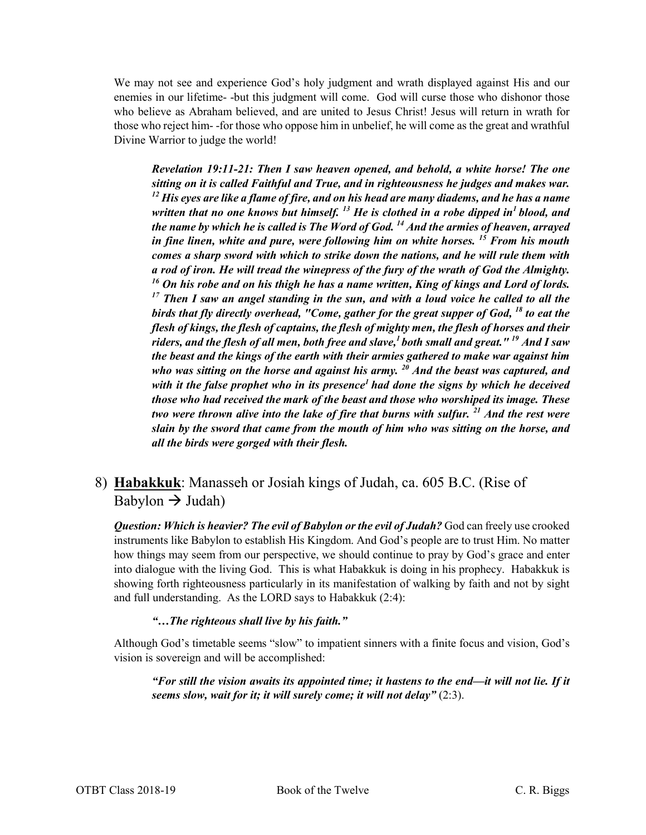We may not see and experience God's holy judgment and wrath displayed against His and our enemies in our lifetime- -but this judgment will come. God will curse those who dishonor those who believe as Abraham believed, and are united to Jesus Christ! Jesus will return in wrath for those who reject him- -for those who oppose him in unbelief, he will come as the great and wrathful Divine Warrior to judge the world!

*Revelation 19:11-21: Then I saw heaven opened, and behold, a white horse! The one sitting on it is called Faithful and True, and in righteousness he judges and makes war. <sup>12</sup> His eyes are like a flame of fire, and on his head are many diadems, and he has a name written that no one knows but himself. <sup>13</sup> He is clothed in a robe dipped in1 blood, and the name by which he is called is The Word of God. 14 And the armies of heaven, arrayed in fine linen, white and pure, were following him on white horses. <sup>15</sup> From his mouth comes a sharp sword with which to strike down the nations, and he will rule them with a rod of iron. He will tread the winepress of the fury of the wrath of God the Almighty. <sup>16</sup> On his robe and on his thigh he has a name written, King of kings and Lord of lords. <sup>17</sup> Then I saw an angel standing in the sun, and with a loud voice he called to all the birds that fly directly overhead, "Come, gather for the great supper of God, <sup>18</sup> to eat the flesh of kings, the flesh of captains, the flesh of mighty men, the flesh of horses and their riders, and the flesh of all men, both free and slave,1 both small and great." 19 And I saw the beast and the kings of the earth with their armies gathered to make war against him who was sitting on the horse and against his army. <sup>20</sup> And the beast was captured, and with it the false prophet who in its presence1 had done the signs by which he deceived those who had received the mark of the beast and those who worshiped its image. These two were thrown alive into the lake of fire that burns with sulfur. <sup>21</sup> And the rest were slain by the sword that came from the mouth of him who was sitting on the horse, and all the birds were gorged with their flesh.*

# 8) **Habakkuk**: Manasseh or Josiah kings of Judah, ca. 605 B.C. (Rise of Babylon  $\rightarrow$  Judah)

*Question: Which is heavier? The evil of Babylon or the evil of Judah?* God can freely use crooked instruments like Babylon to establish His Kingdom. And God's people are to trust Him. No matter how things may seem from our perspective, we should continue to pray by God's grace and enter into dialogue with the living God. This is what Habakkuk is doing in his prophecy. Habakkuk is showing forth righteousness particularly in its manifestation of walking by faith and not by sight and full understanding. As the LORD says to Habakkuk (2:4):

#### *"…The righteous shall live by his faith."*

Although God's timetable seems "slow" to impatient sinners with a finite focus and vision, God's vision is sovereign and will be accomplished:

*"For still the vision awaits its appointed time; it hastens to the end—it will not lie. If it*  seems slow, wait for it; it will surely come; it will not delay" (2:3).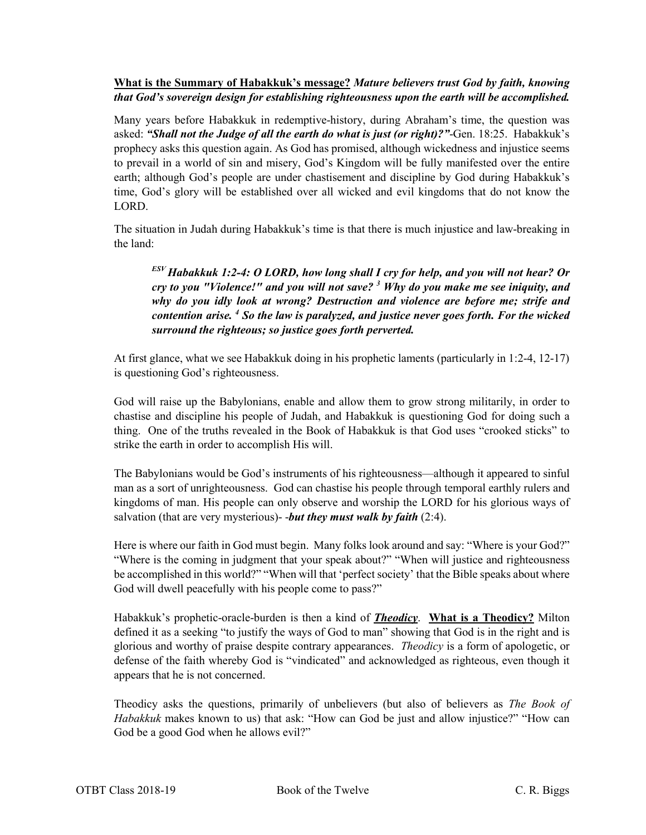#### **What is the Summary of Habakkuk's message?** *Mature believers trust God by faith, knowing that God's sovereign design for establishing righteousness upon the earth will be accomplished.*

Many years before Habakkuk in redemptive-history, during Abraham's time, the question was asked: *"Shall not the Judge of all the earth do what is just (or right)?"*-Gen. 18:25. Habakkuk's prophecy asks this question again. As God has promised, although wickedness and injustice seems to prevail in a world of sin and misery, God's Kingdom will be fully manifested over the entire earth; although God's people are under chastisement and discipline by God during Habakkuk's time, God's glory will be established over all wicked and evil kingdoms that do not know the LORD.

The situation in Judah during Habakkuk's time is that there is much injustice and law-breaking in the land:

*ESV Habakkuk 1:2-4: O LORD, how long shall I cry for help, and you will not hear? Or cry to you "Violence!" and you will not save? <sup>3</sup> Why do you make me see iniquity, and why do you idly look at wrong? Destruction and violence are before me; strife and contention arise. <sup>4</sup> So the law is paralyzed, and justice never goes forth. For the wicked surround the righteous; so justice goes forth perverted.*

At first glance, what we see Habakkuk doing in his prophetic laments (particularly in 1:2-4, 12-17) is questioning God's righteousness.

God will raise up the Babylonians, enable and allow them to grow strong militarily, in order to chastise and discipline his people of Judah, and Habakkuk is questioning God for doing such a thing. One of the truths revealed in the Book of Habakkuk is that God uses "crooked sticks" to strike the earth in order to accomplish His will.

The Babylonians would be God's instruments of his righteousness—although it appeared to sinful man as a sort of unrighteousness. God can chastise his people through temporal earthly rulers and kingdoms of man. His people can only observe and worship the LORD for his glorious ways of salvation (that are very mysterious)- -*but they must walk by faith* (2:4).

Here is where our faith in God must begin. Many folks look around and say: "Where is your God?" "Where is the coming in judgment that your speak about?" "When will justice and righteousness be accomplished in this world?" "When will that 'perfect society' that the Bible speaks about where God will dwell peacefully with his people come to pass?"

Habakkuk's prophetic-oracle-burden is then a kind of *Theodicy*. **What is a Theodicy?** Milton defined it as a seeking "to justify the ways of God to man" showing that God is in the right and is glorious and worthy of praise despite contrary appearances. *Theodicy* is a form of apologetic, or defense of the faith whereby God is "vindicated" and acknowledged as righteous, even though it appears that he is not concerned.

Theodicy asks the questions, primarily of unbelievers (but also of believers as *The Book of Habakkuk* makes known to us) that ask: "How can God be just and allow injustice?" "How can God be a good God when he allows evil?"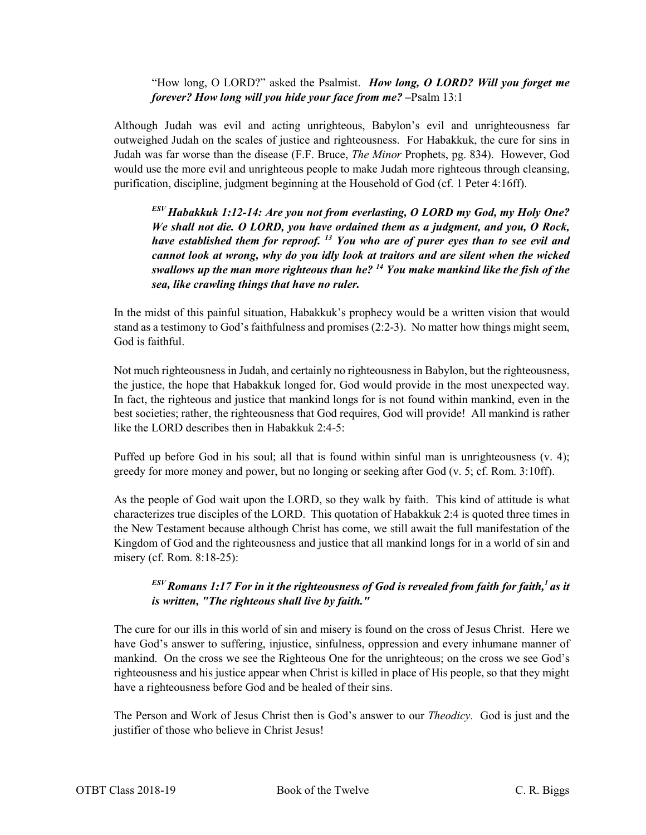#### "How long, O LORD?" asked the Psalmist. *How long, O LORD? Will you forget me forever? How long will you hide your face from me?*  $-$ Psalm 13:1

Although Judah was evil and acting unrighteous, Babylon's evil and unrighteousness far outweighed Judah on the scales of justice and righteousness. For Habakkuk, the cure for sins in Judah was far worse than the disease (F.F. Bruce, *The Minor* Prophets, pg. 834). However, God would use the more evil and unrighteous people to make Judah more righteous through cleansing, purification, discipline, judgment beginning at the Household of God (cf. 1 Peter 4:16ff).

*ESV Habakkuk 1:12-14: Are you not from everlasting, O LORD my God, my Holy One? We shall not die. O LORD, you have ordained them as a judgment, and you, O Rock, have established them for reproof. <sup>13</sup> You who are of purer eyes than to see evil and cannot look at wrong, why do you idly look at traitors and are silent when the wicked swallows up the man more righteous than he? <sup>14</sup> You make mankind like the fish of the sea, like crawling things that have no ruler.*

In the midst of this painful situation, Habakkuk's prophecy would be a written vision that would stand as a testimony to God's faithfulness and promises (2:2-3). No matter how things might seem, God is faithful.

Not much righteousness in Judah, and certainly no righteousness in Babylon, but the righteousness, the justice, the hope that Habakkuk longed for, God would provide in the most unexpected way. In fact, the righteous and justice that mankind longs for is not found within mankind, even in the best societies; rather, the righteousness that God requires, God will provide! All mankind is rather like the LORD describes then in Habakkuk 2:4-5:

Puffed up before God in his soul; all that is found within sinful man is unrighteousness (v. 4); greedy for more money and power, but no longing or seeking after God (v. 5; cf. Rom. 3:10ff).

As the people of God wait upon the LORD, so they walk by faith. This kind of attitude is what characterizes true disciples of the LORD. This quotation of Habakkuk 2:4 is quoted three times in the New Testament because although Christ has come, we still await the full manifestation of the Kingdom of God and the righteousness and justice that all mankind longs for in a world of sin and misery (cf. Rom. 8:18-25):

### *ESV Romans 1:17 For in it the righteousness of God is revealed from faith for faith,1 as it is written, "The righteous shall live by faith."*

The cure for our ills in this world of sin and misery is found on the cross of Jesus Christ. Here we have God's answer to suffering, injustice, sinfulness, oppression and every inhumane manner of mankind. On the cross we see the Righteous One for the unrighteous; on the cross we see God's righteousness and his justice appear when Christ is killed in place of His people, so that they might have a righteousness before God and be healed of their sins.

The Person and Work of Jesus Christ then is God's answer to our *Theodicy.* God is just and the justifier of those who believe in Christ Jesus!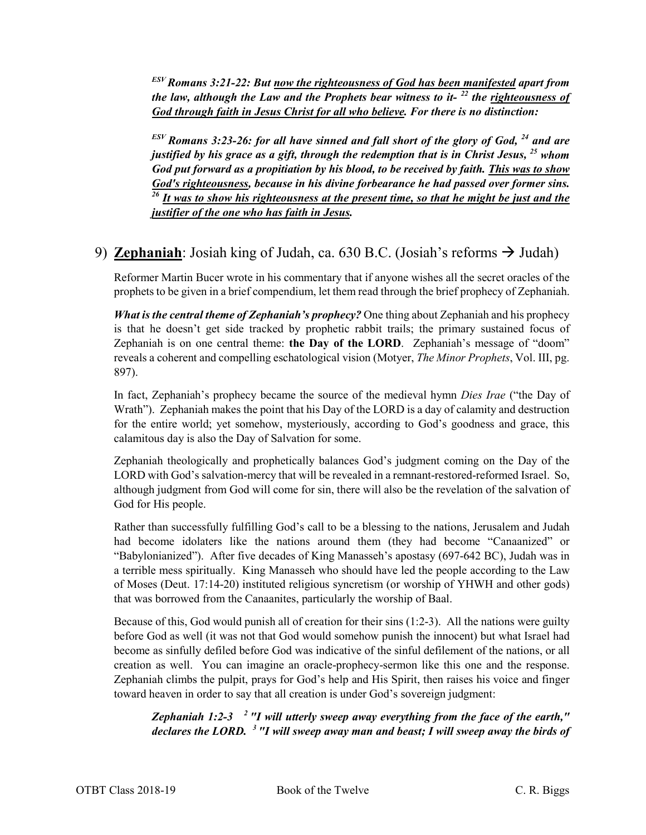*ESV Romans 3:21-22: But now the righteousness of God has been manifested apart from the law, although the Law and the Prophets bear witness to it- <sup>22</sup> the righteousness of God through faith in Jesus Christ for all who believe. For there is no distinction:*

*ESV Romans 3:23-26: for all have sinned and fall short of the glory of God, <sup>24</sup> and are justified by his grace as a gift, through the redemption that is in Christ Jesus, <sup>25</sup> whom God put forward as a propitiation by his blood, to be received by faith. This was to show God's righteousness, because in his divine forbearance he had passed over former sins. <sup>26</sup> It was to show his righteousness at the present time, so that he might be just and the justifier of the one who has faith in Jesus.*

# 9) **Zephaniah**: Josiah king of Judah, ca. 630 B.C. (Josiah's reforms  $\rightarrow$  Judah)

Reformer Martin Bucer wrote in his commentary that if anyone wishes all the secret oracles of the prophets to be given in a brief compendium, let them read through the brief prophecy of Zephaniah.

*What is the central theme of Zephaniah's prophecy?* One thing about Zephaniah and his prophecy is that he doesn't get side tracked by prophetic rabbit trails; the primary sustained focus of Zephaniah is on one central theme: **the Day of the LORD**. Zephaniah's message of "doom" reveals a coherent and compelling eschatological vision (Motyer, *The Minor Prophets*, Vol. III, pg. 897).

In fact, Zephaniah's prophecy became the source of the medieval hymn *Dies Irae* ("the Day of Wrath"). Zephaniah makes the point that his Day of the LORD is a day of calamity and destruction for the entire world; yet somehow, mysteriously, according to God's goodness and grace, this calamitous day is also the Day of Salvation for some.

Zephaniah theologically and prophetically balances God's judgment coming on the Day of the LORD with God's salvation-mercy that will be revealed in a remnant-restored-reformed Israel. So, although judgment from God will come for sin, there will also be the revelation of the salvation of God for His people.

Rather than successfully fulfilling God's call to be a blessing to the nations, Jerusalem and Judah had become idolaters like the nations around them (they had become "Canaanized" or "Babylonianized"). After five decades of King Manasseh's apostasy (697-642 BC), Judah was in a terrible mess spiritually. King Manasseh who should have led the people according to the Law of Moses (Deut. 17:14-20) instituted religious syncretism (or worship of YHWH and other gods) that was borrowed from the Canaanites, particularly the worship of Baal.

Because of this, God would punish all of creation for their sins (1:2-3). All the nations were guilty before God as well (it was not that God would somehow punish the innocent) but what Israel had become as sinfully defiled before God was indicative of the sinful defilement of the nations, or all creation as well. You can imagine an oracle-prophecy-sermon like this one and the response. Zephaniah climbs the pulpit, prays for God's help and His Spirit, then raises his voice and finger toward heaven in order to say that all creation is under God's sovereign judgment:

*Zephaniah 1:2-3 2 "I will utterly sweep away everything from the face of the earth," declares the LORD. 3 "I will sweep away man and beast; I will sweep away the birds of*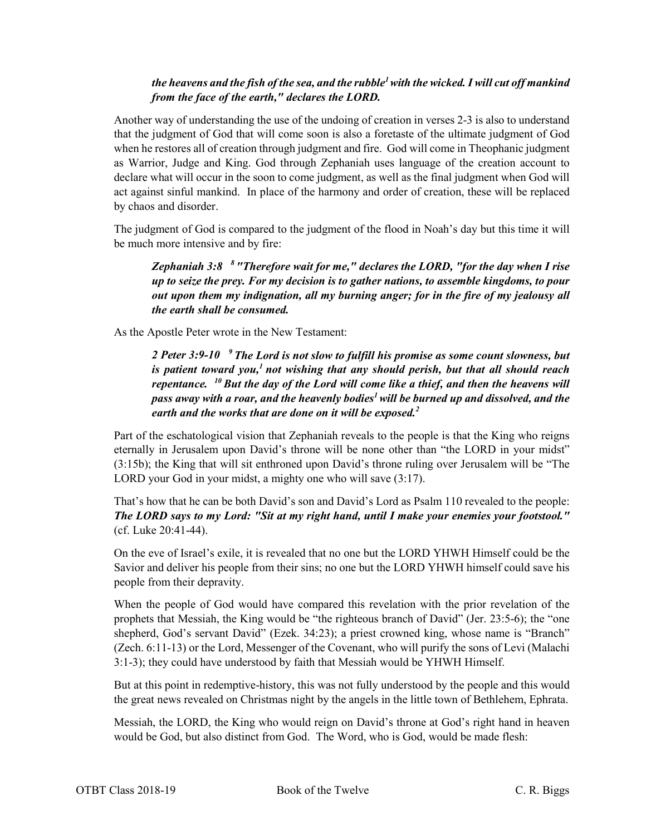#### *the heavens and the fish of the sea, and the rubble<sup>1</sup> with the wicked. I will cut off mankind from the face of the earth," declares the LORD.*

Another way of understanding the use of the undoing of creation in verses 2-3 is also to understand that the judgment of God that will come soon is also a foretaste of the ultimate judgment of God when he restores all of creation through judgment and fire. God will come in Theophanic judgment as Warrior, Judge and King. God through Zephaniah uses language of the creation account to declare what will occur in the soon to come judgment, as well as the final judgment when God will act against sinful mankind. In place of the harmony and order of creation, these will be replaced by chaos and disorder.

The judgment of God is compared to the judgment of the flood in Noah's day but this time it will be much more intensive and by fire:

*Zephaniah 3:8 8 "Therefore wait for me," declares the LORD, "for the day when I rise up to seize the prey. For my decision is to gather nations, to assemble kingdoms, to pour out upon them my indignation, all my burning anger; for in the fire of my jealousy all the earth shall be consumed.*

As the Apostle Peter wrote in the New Testament:

*2 Peter 3:9-10 9 The Lord is not slow to fulfill his promise as some count slowness, but is patient toward you,1 not wishing that any should perish, but that all should reach repentance. 10 But the day of the Lord will come like a thief, and then the heavens will pass away with a roar, and the heavenly bodies1 will be burned up and dissolved, and the earth and the works that are done on it will be exposed.2*

Part of the eschatological vision that Zephaniah reveals to the people is that the King who reigns eternally in Jerusalem upon David's throne will be none other than "the LORD in your midst" (3:15b); the King that will sit enthroned upon David's throne ruling over Jerusalem will be "The LORD your God in your midst, a mighty one who will save  $(3:17)$ .

That's how that he can be both David's son and David's Lord as Psalm 110 revealed to the people: *The LORD says to my Lord: "Sit at my right hand, until I make your enemies your footstool."* (cf. Luke 20:41-44).

On the eve of Israel's exile, it is revealed that no one but the LORD YHWH Himself could be the Savior and deliver his people from their sins; no one but the LORD YHWH himself could save his people from their depravity.

When the people of God would have compared this revelation with the prior revelation of the prophets that Messiah, the King would be "the righteous branch of David" (Jer. 23:5-6); the "one shepherd, God's servant David" (Ezek. 34:23); a priest crowned king, whose name is "Branch" (Zech. 6:11-13) or the Lord, Messenger of the Covenant, who will purify the sons of Levi (Malachi 3:1-3); they could have understood by faith that Messiah would be YHWH Himself.

But at this point in redemptive-history, this was not fully understood by the people and this would the great news revealed on Christmas night by the angels in the little town of Bethlehem, Ephrata.

Messiah, the LORD, the King who would reign on David's throne at God's right hand in heaven would be God, but also distinct from God. The Word, who is God, would be made flesh: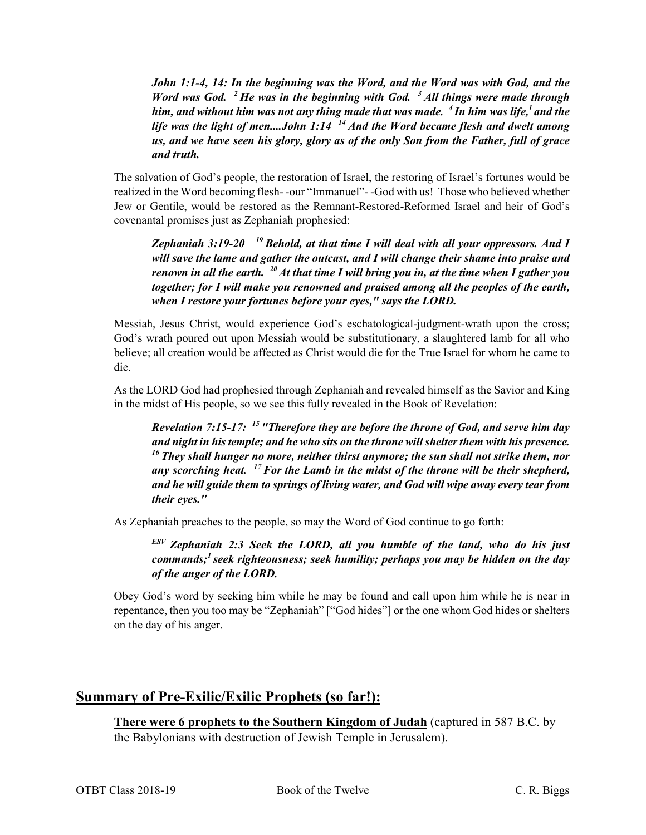*John 1:1-4, 14: In the beginning was the Word, and the Word was with God, and the Word was God.* <sup>2</sup> He was in the beginning with God. <sup>3</sup> All things were made through *him, and without him was not any thing made that was made.* <sup>4</sup> In him was life,<sup>1</sup> and the *life was the light of men....John 1:14 14 And the Word became flesh and dwelt among us, and we have seen his glory, glory as of the only Son from the Father, full of grace and truth.*

The salvation of God's people, the restoration of Israel, the restoring of Israel's fortunes would be realized in the Word becoming flesh- -our "Immanuel"- -God with us! Those who believed whether Jew or Gentile, would be restored as the Remnant-Restored-Reformed Israel and heir of God's covenantal promises just as Zephaniah prophesied:

*Zephaniah 3:19-20 19 Behold, at that time I will deal with all your oppressors. And I will save the lame and gather the outcast, and I will change their shame into praise and renown in all the earth. 20 At that time I will bring you in, at the time when I gather you together; for I will make you renowned and praised among all the peoples of the earth, when I restore your fortunes before your eyes," says the LORD.*

Messiah, Jesus Christ, would experience God's eschatological-judgment-wrath upon the cross; God's wrath poured out upon Messiah would be substitutionary, a slaughtered lamb for all who believe; all creation would be affected as Christ would die for the True Israel for whom he came to die.

As the LORD God had prophesied through Zephaniah and revealed himself as the Savior and King in the midst of His people, so we see this fully revealed in the Book of Revelation:

*Revelation 7:15-17: 15 "Therefore they are before the throne of God, and serve him day and night in his temple; and he who sits on the throne will shelter them with his presence. 16 They shall hunger no more, neither thirst anymore; the sun shall not strike them, nor any scorching heat. 17 For the Lamb in the midst of the throne will be their shepherd, and he will guide them to springs of living water, and God will wipe away every tear from their eyes."*

As Zephaniah preaches to the people, so may the Word of God continue to go forth:

*ESV Zephaniah 2:3 Seek the LORD, all you humble of the land, who do his just commands;1 seek righteousness; seek humility; perhaps you may be hidden on the day of the anger of the LORD.*

Obey God's word by seeking him while he may be found and call upon him while he is near in repentance, then you too may be "Zephaniah" ["God hides"] or the one whom God hides or shelters on the day of his anger.

#### **Summary of Pre-Exilic/Exilic Prophets (so far!):**

**There were 6 prophets to the Southern Kingdom of Judah** (captured in 587 B.C. by the Babylonians with destruction of Jewish Temple in Jerusalem).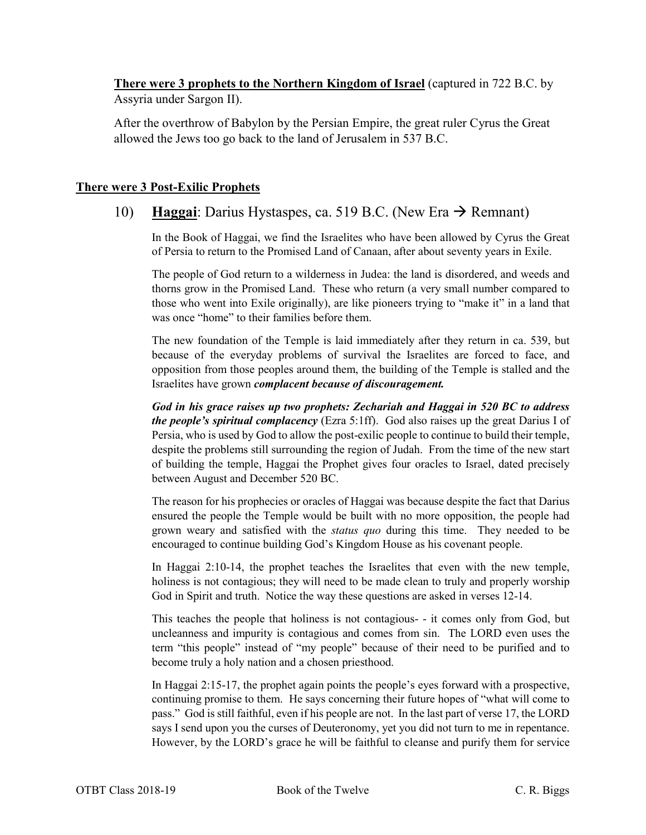**There were 3 prophets to the Northern Kingdom of Israel** (captured in 722 B.C. by Assyria under Sargon II).

After the overthrow of Babylon by the Persian Empire, the great ruler Cyrus the Great allowed the Jews too go back to the land of Jerusalem in 537 B.C.

#### **There were 3 Post-Exilic Prophets**

# 10) **Haggai**: Darius Hystaspes, ca. 519 B.C. (New Era  $\rightarrow$  Remnant)

In the Book of Haggai, we find the Israelites who have been allowed by Cyrus the Great of Persia to return to the Promised Land of Canaan, after about seventy years in Exile.

The people of God return to a wilderness in Judea: the land is disordered, and weeds and thorns grow in the Promised Land. These who return (a very small number compared to those who went into Exile originally), are like pioneers trying to "make it" in a land that was once "home" to their families before them.

The new foundation of the Temple is laid immediately after they return in ca. 539, but because of the everyday problems of survival the Israelites are forced to face, and opposition from those peoples around them, the building of the Temple is stalled and the Israelites have grown *complacent because of discouragement.*

*God in his grace raises up two prophets: Zechariah and Haggai in 520 BC to address the people's spiritual complacency* (Ezra 5:1ff). God also raises up the great Darius I of Persia, who is used by God to allow the post-exilic people to continue to build their temple, despite the problems still surrounding the region of Judah. From the time of the new start of building the temple, Haggai the Prophet gives four oracles to Israel, dated precisely between August and December 520 BC.

The reason for his prophecies or oracles of Haggai was because despite the fact that Darius ensured the people the Temple would be built with no more opposition, the people had grown weary and satisfied with the *status quo* during this time. They needed to be encouraged to continue building God's Kingdom House as his covenant people.

In Haggai 2:10-14, the prophet teaches the Israelites that even with the new temple, holiness is not contagious; they will need to be made clean to truly and properly worship God in Spirit and truth. Notice the way these questions are asked in verses 12-14.

This teaches the people that holiness is not contagious- - it comes only from God, but uncleanness and impurity is contagious and comes from sin. The LORD even uses the term "this people" instead of "my people" because of their need to be purified and to become truly a holy nation and a chosen priesthood.

In Haggai 2:15-17, the prophet again points the people's eyes forward with a prospective, continuing promise to them. He says concerning their future hopes of "what will come to pass." God is still faithful, even if his people are not. In the last part of verse 17, the LORD says I send upon you the curses of Deuteronomy, yet you did not turn to me in repentance. However, by the LORD's grace he will be faithful to cleanse and purify them for service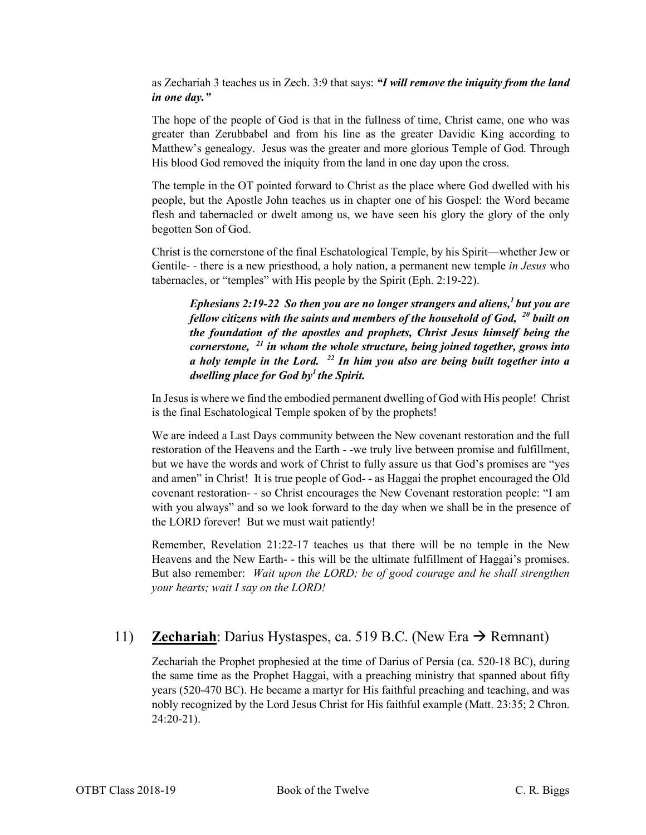as Zechariah 3 teaches us in Zech. 3:9 that says: *"I will remove the iniquity from the land in one day."*

The hope of the people of God is that in the fullness of time, Christ came, one who was greater than Zerubbabel and from his line as the greater Davidic King according to Matthew's genealogy. Jesus was the greater and more glorious Temple of God. Through His blood God removed the iniquity from the land in one day upon the cross.

The temple in the OT pointed forward to Christ as the place where God dwelled with his people, but the Apostle John teaches us in chapter one of his Gospel: the Word became flesh and tabernacled or dwelt among us, we have seen his glory the glory of the only begotten Son of God.

Christ is the cornerstone of the final Eschatological Temple, by his Spirit—whether Jew or Gentile- - there is a new priesthood, a holy nation, a permanent new temple *in Jesus* who tabernacles, or "temples" with His people by the Spirit (Eph. 2:19-22).

*Ephesians 2:19-22 So then you are no longer strangers and aliens,1 but you are fellow citizens with the saints and members of the household of God, <sup>20</sup> built on the foundation of the apostles and prophets, Christ Jesus himself being the cornerstone, <sup>21</sup> in whom the whole structure, being joined together, grows into a holy temple in the Lord. <sup>22</sup> In him you also are being built together into a dwelling place for God by1 the Spirit.*

In Jesus is where we find the embodied permanent dwelling of God with His people! Christ is the final Eschatological Temple spoken of by the prophets!

We are indeed a Last Days community between the New covenant restoration and the full restoration of the Heavens and the Earth - -we truly live between promise and fulfillment, but we have the words and work of Christ to fully assure us that God's promises are "yes and amen" in Christ! It is true people of God- - as Haggai the prophet encouraged the Old covenant restoration- - so Christ encourages the New Covenant restoration people: "I am with you always" and so we look forward to the day when we shall be in the presence of the LORD forever! But we must wait patiently!

Remember, Revelation 21:22-17 teaches us that there will be no temple in the New Heavens and the New Earth- - this will be the ultimate fulfillment of Haggai's promises. But also remember: *Wait upon the LORD; be of good courage and he shall strengthen your hearts; wait I say on the LORD!*

# 11) **Zechariah**: Darius Hystaspes, ca. 519 B.C. (New Era  $\rightarrow$  Remnant)

Zechariah the Prophet prophesied at the time of Darius of Persia (ca. 520-18 BC), during the same time as the Prophet Haggai, with a preaching ministry that spanned about fifty years (520-470 BC). He became a martyr for His faithful preaching and teaching, and was nobly recognized by the Lord Jesus Christ for His faithful example (Matt. 23:35; 2 Chron. 24:20-21).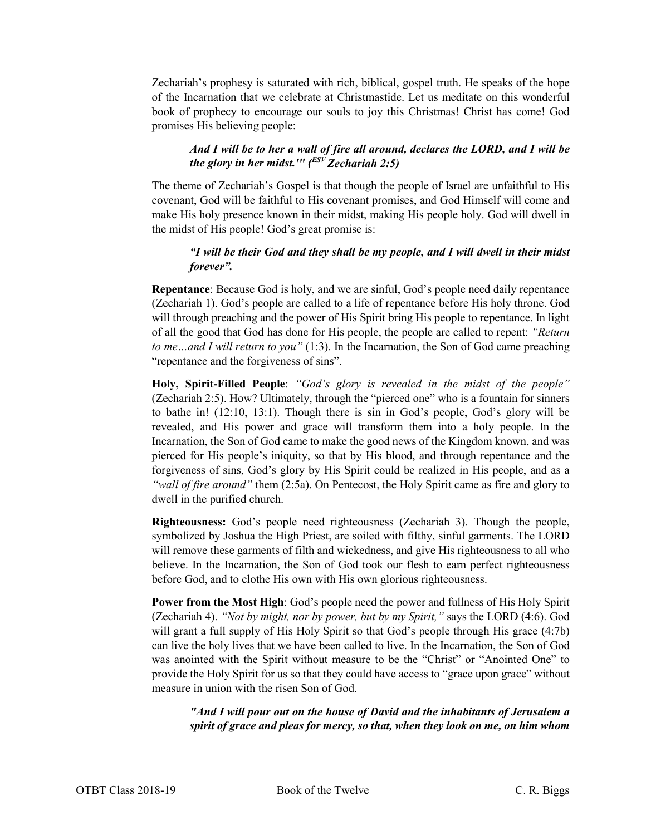Zechariah's prophesy is saturated with rich, biblical, gospel truth. He speaks of the hope of the Incarnation that we celebrate at Christmastide. Let us meditate on this wonderful book of prophecy to encourage our souls to joy this Christmas! Christ has come! God promises His believing people:

#### *And I will be to her a wall of fire all around, declares the LORD, and I will be the glory in her midst.'" (ESV Zechariah 2:5)*

The theme of Zechariah's Gospel is that though the people of Israel are unfaithful to His covenant, God will be faithful to His covenant promises, and God Himself will come and make His holy presence known in their midst, making His people holy. God will dwell in the midst of His people! God's great promise is:

#### *"I will be their God and they shall be my people, and I will dwell in their midst forever".*

**Repentance**: Because God is holy, and we are sinful, God's people need daily repentance (Zechariah 1). God's people are called to a life of repentance before His holy throne. God will through preaching and the power of His Spirit bring His people to repentance. In light of all the good that God has done for His people, the people are called to repent: *"Return to me…and I will return to you"* (1:3). In the Incarnation, the Son of God came preaching "repentance and the forgiveness of sins".

**Holy, Spirit-Filled People**: *"God's glory is revealed in the midst of the people"* (Zechariah 2:5). How? Ultimately, through the "pierced one" who is a fountain for sinners to bathe in! (12:10, 13:1). Though there is sin in God's people, God's glory will be revealed, and His power and grace will transform them into a holy people. In the Incarnation, the Son of God came to make the good news of the Kingdom known, and was pierced for His people's iniquity, so that by His blood, and through repentance and the forgiveness of sins, God's glory by His Spirit could be realized in His people, and as a *"wall of fire around"* them (2:5a). On Pentecost, the Holy Spirit came as fire and glory to dwell in the purified church.

**Righteousness:** God's people need righteousness (Zechariah 3). Though the people, symbolized by Joshua the High Priest, are soiled with filthy, sinful garments. The LORD will remove these garments of filth and wickedness, and give His righteousness to all who believe. In the Incarnation, the Son of God took our flesh to earn perfect righteousness before God, and to clothe His own with His own glorious righteousness.

**Power from the Most High**: God's people need the power and fullness of His Holy Spirit (Zechariah 4). *"Not by might, nor by power, but by my Spirit,"* says the LORD (4:6). God will grant a full supply of His Holy Spirit so that God's people through His grace  $(4:7b)$ can live the holy lives that we have been called to live. In the Incarnation, the Son of God was anointed with the Spirit without measure to be the "Christ" or "Anointed One" to provide the Holy Spirit for us so that they could have access to "grace upon grace" without measure in union with the risen Son of God.

*"And I will pour out on the house of David and the inhabitants of Jerusalem a spirit of grace and pleas for mercy, so that, when they look on me, on him whom*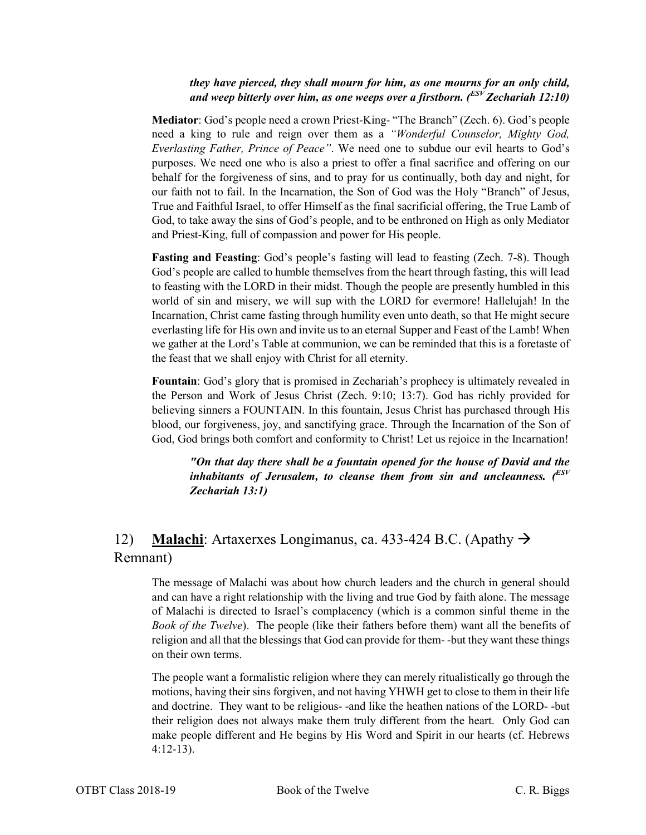#### *they have pierced, they shall mourn for him, as one mourns for an only child, and weep bitterly over him, as one weeps over a firstborn. (ESV Zechariah 12:10)*

**Mediator**: God's people need a crown Priest-King- "The Branch" (Zech. 6). God's people need a king to rule and reign over them as a *"Wonderful Counselor, Mighty God, Everlasting Father, Prince of Peace"*. We need one to subdue our evil hearts to God's purposes. We need one who is also a priest to offer a final sacrifice and offering on our behalf for the forgiveness of sins, and to pray for us continually, both day and night, for our faith not to fail. In the Incarnation, the Son of God was the Holy "Branch" of Jesus, True and Faithful Israel, to offer Himself as the final sacrificial offering, the True Lamb of God, to take away the sins of God's people, and to be enthroned on High as only Mediator and Priest-King, full of compassion and power for His people.

**Fasting and Feasting**: God's people's fasting will lead to feasting (Zech. 7-8). Though God's people are called to humble themselves from the heart through fasting, this will lead to feasting with the LORD in their midst. Though the people are presently humbled in this world of sin and misery, we will sup with the LORD for evermore! Hallelujah! In the Incarnation, Christ came fasting through humility even unto death, so that He might secure everlasting life for His own and invite us to an eternal Supper and Feast of the Lamb! When we gather at the Lord's Table at communion, we can be reminded that this is a foretaste of the feast that we shall enjoy with Christ for all eternity.

**Fountain**: God's glory that is promised in Zechariah's prophecy is ultimately revealed in the Person and Work of Jesus Christ (Zech. 9:10; 13:7). God has richly provided for believing sinners a FOUNTAIN. In this fountain, Jesus Christ has purchased through His blood, our forgiveness, joy, and sanctifying grace. Through the Incarnation of the Son of God, God brings both comfort and conformity to Christ! Let us rejoice in the Incarnation!

*"On that day there shall be a fountain opened for the house of David and the inhabitants of Jerusalem, to cleanse them from sin and uncleanness. (ESV Zechariah 13:1)*

# 12) **Malachi**: Artaxerxes Longimanus, ca. 433-424 B.C. (Apathy Remnant)

The message of Malachi was about how church leaders and the church in general should and can have a right relationship with the living and true God by faith alone. The message of Malachi is directed to Israel's complacency (which is a common sinful theme in the *Book of the Twelve*). The people (like their fathers before them) want all the benefits of religion and all that the blessings that God can provide for them- -but they want these things on their own terms.

The people want a formalistic religion where they can merely ritualistically go through the motions, having their sins forgiven, and not having YHWH get to close to them in their life and doctrine. They want to be religious- -and like the heathen nations of the LORD- -but their religion does not always make them truly different from the heart. Only God can make people different and He begins by His Word and Spirit in our hearts (cf. Hebrews 4:12-13).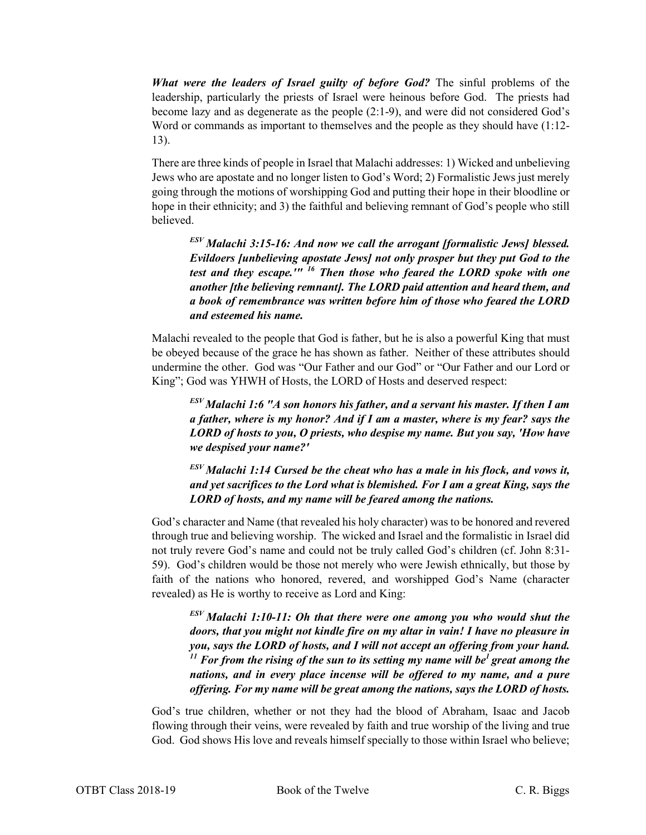*What were the leaders of Israel guilty of before God?* The sinful problems of the leadership, particularly the priests of Israel were heinous before God. The priests had become lazy and as degenerate as the people (2:1-9), and were did not considered God's Word or commands as important to themselves and the people as they should have (1:12- 13).

There are three kinds of people in Israel that Malachi addresses: 1) Wicked and unbelieving Jews who are apostate and no longer listen to God's Word; 2) Formalistic Jews just merely going through the motions of worshipping God and putting their hope in their bloodline or hope in their ethnicity; and 3) the faithful and believing remnant of God's people who still believed.

*ESV Malachi 3:15-16: And now we call the arrogant [formalistic Jews] blessed. Evildoers [unbelieving apostate Jews] not only prosper but they put God to the test and they escape.'" <sup>16</sup> Then those who feared the LORD spoke with one another [the believing remnant]. The LORD paid attention and heard them, and a book of remembrance was written before him of those who feared the LORD and esteemed his name.*

Malachi revealed to the people that God is father, but he is also a powerful King that must be obeyed because of the grace he has shown as father. Neither of these attributes should undermine the other. God was "Our Father and our God" or "Our Father and our Lord or King"; God was YHWH of Hosts, the LORD of Hosts and deserved respect:

*ESV Malachi 1:6 "A son honors his father, and a servant his master. If then I am a father, where is my honor? And if I am a master, where is my fear? says the LORD of hosts to you, O priests, who despise my name. But you say, 'How have we despised your name?'*

*ESV Malachi 1:14 Cursed be the cheat who has a male in his flock, and vows it, and yet sacrifices to the Lord what is blemished. For I am a great King, says the LORD of hosts, and my name will be feared among the nations.*

God's character and Name (that revealed his holy character) was to be honored and revered through true and believing worship. The wicked and Israel and the formalistic in Israel did not truly revere God's name and could not be truly called God's children (cf. John 8:31- 59). God's children would be those not merely who were Jewish ethnically, but those by faith of the nations who honored, revered, and worshipped God's Name (character revealed) as He is worthy to receive as Lord and King:

*ESV Malachi 1:10-11: Oh that there were one among you who would shut the doors, that you might not kindle fire on my altar in vain! I have no pleasure in you, says the LORD of hosts, and I will not accept an offering from your hand.*   $11$  *For from the rising of the sun to its setting my name will be<sup>1</sup> great among the nations, and in every place incense will be offered to my name, and a pure offering. For my name will be great among the nations, says the LORD of hosts.*

God's true children, whether or not they had the blood of Abraham, Isaac and Jacob flowing through their veins, were revealed by faith and true worship of the living and true God. God shows His love and reveals himself specially to those within Israel who believe;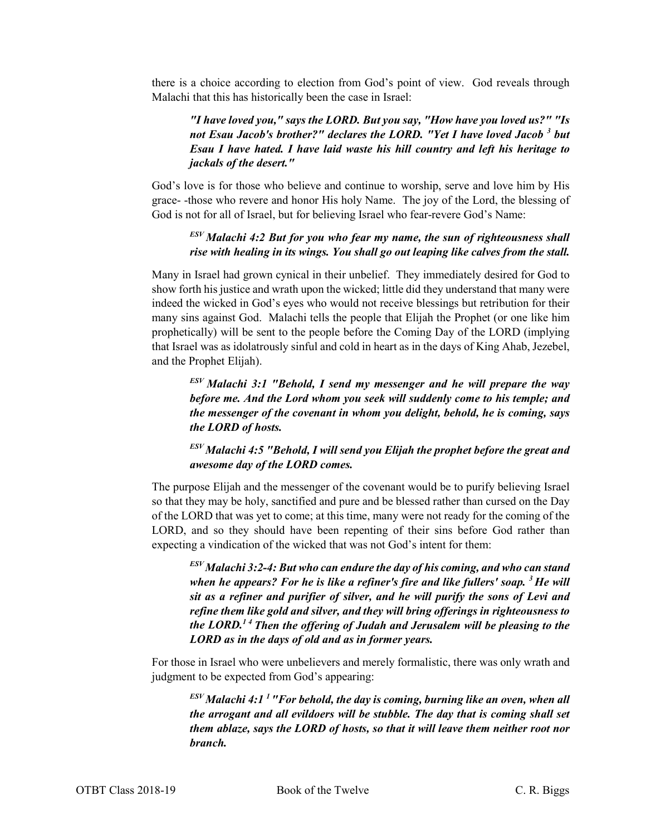there is a choice according to election from God's point of view. God reveals through Malachi that this has historically been the case in Israel:

#### *"I have loved you," says the LORD. But you say, "How have you loved us?" "Is not Esau Jacob's brother?" declares the LORD. "Yet I have loved Jacob <sup>3</sup> but Esau I have hated. I have laid waste his hill country and left his heritage to jackals of the desert."*

God's love is for those who believe and continue to worship, serve and love him by His grace- -those who revere and honor His holy Name. The joy of the Lord, the blessing of God is not for all of Israel, but for believing Israel who fear-revere God's Name:

## *ESV Malachi 4:2 But for you who fear my name, the sun of righteousness shall rise with healing in its wings. You shall go out leaping like calves from the stall.*

Many in Israel had grown cynical in their unbelief. They immediately desired for God to show forth his justice and wrath upon the wicked; little did they understand that many were indeed the wicked in God's eyes who would not receive blessings but retribution for their many sins against God. Malachi tells the people that Elijah the Prophet (or one like him prophetically) will be sent to the people before the Coming Day of the LORD (implying that Israel was as idolatrously sinful and cold in heart as in the days of King Ahab, Jezebel, and the Prophet Elijah).

*ESV Malachi 3:1 "Behold, I send my messenger and he will prepare the way before me. And the Lord whom you seek will suddenly come to his temple; and the messenger of the covenant in whom you delight, behold, he is coming, says the LORD of hosts.*

#### *ESV Malachi 4:5 "Behold, I will send you Elijah the prophet before the great and awesome day of the LORD comes.*

The purpose Elijah and the messenger of the covenant would be to purify believing Israel so that they may be holy, sanctified and pure and be blessed rather than cursed on the Day of the LORD that was yet to come; at this time, many were not ready for the coming of the LORD, and so they should have been repenting of their sins before God rather than expecting a vindication of the wicked that was not God's intent for them:

*ESV Malachi 3:2-4: But who can endure the day of his coming, and who can stand when he appears? For he is like a refiner's fire and like fullers' soap. 3 He will sit as a refiner and purifier of silver, and he will purify the sons of Levi and refine them like gold and silver, and they will bring offerings in righteousness to the LORD.1 4 Then the offering of Judah and Jerusalem will be pleasing to the LORD as in the days of old and as in former years.*

For those in Israel who were unbelievers and merely formalistic, there was only wrath and judgment to be expected from God's appearing:

 $E_{\text{F}}^{E_\text{F}}$ *Malachi 4:1<sup>1</sup>* "For behold, the day is coming, burning like an oven, when all *the arrogant and all evildoers will be stubble. The day that is coming shall set them ablaze, says the LORD of hosts, so that it will leave them neither root nor branch.*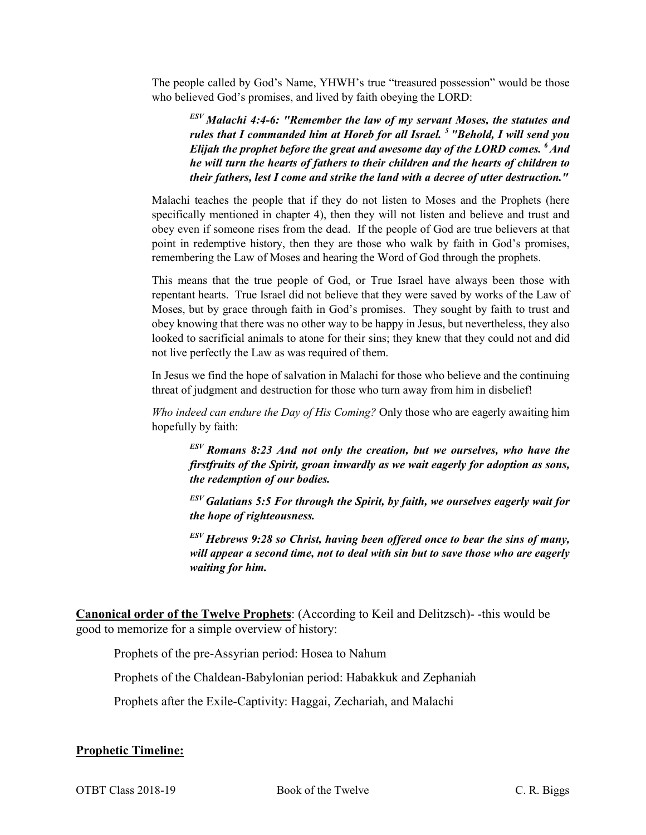The people called by God's Name, YHWH's true "treasured possession" would be those who believed God's promises, and lived by faith obeying the LORD:

*ESV Malachi 4:4-6: "Remember the law of my servant Moses, the statutes and rules that I commanded him at Horeb for all Israel. 5 "Behold, I will send you Elijah the prophet before the great and awesome day of the LORD comes. 6 And he will turn the hearts of fathers to their children and the hearts of children to their fathers, lest I come and strike the land with a decree of utter destruction."*

Malachi teaches the people that if they do not listen to Moses and the Prophets (here specifically mentioned in chapter 4), then they will not listen and believe and trust and obey even if someone rises from the dead. If the people of God are true believers at that point in redemptive history, then they are those who walk by faith in God's promises, remembering the Law of Moses and hearing the Word of God through the prophets.

This means that the true people of God, or True Israel have always been those with repentant hearts. True Israel did not believe that they were saved by works of the Law of Moses, but by grace through faith in God's promises. They sought by faith to trust and obey knowing that there was no other way to be happy in Jesus, but nevertheless, they also looked to sacrificial animals to atone for their sins; they knew that they could not and did not live perfectly the Law as was required of them.

In Jesus we find the hope of salvation in Malachi for those who believe and the continuing threat of judgment and destruction for those who turn away from him in disbelief!

*Who indeed can endure the Day of His Coming?* Only those who are eagerly awaiting him hopefully by faith:

*ESV Romans 8:23 And not only the creation, but we ourselves, who have the firstfruits of the Spirit, groan inwardly as we wait eagerly for adoption as sons, the redemption of our bodies.*

*ESV Galatians 5:5 For through the Spirit, by faith, we ourselves eagerly wait for the hope of righteousness.*

*ESV Hebrews 9:28 so Christ, having been offered once to bear the sins of many, will appear a second time, not to deal with sin but to save those who are eagerly waiting for him.*

**Canonical order of the Twelve Prophets**: (According to Keil and Delitzsch)- -this would be good to memorize for a simple overview of history:

Prophets of the pre-Assyrian period: Hosea to Nahum

Prophets of the Chaldean-Babylonian period: Habakkuk and Zephaniah

Prophets after the Exile-Captivity: Haggai, Zechariah, and Malachi

#### **Prophetic Timeline:**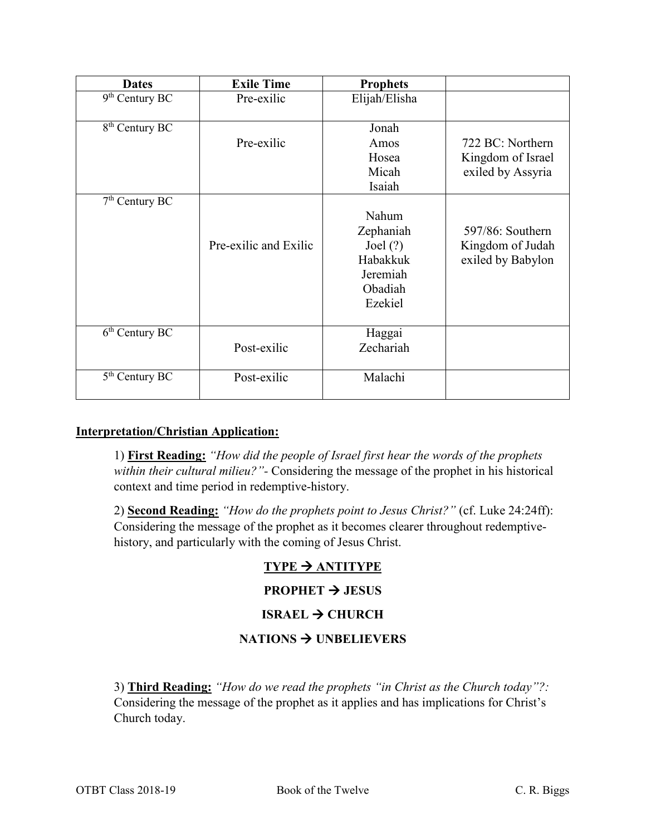| <b>Dates</b>               | <b>Exile Time</b>     | <b>Prophets</b>                                                                |                                                            |
|----------------------------|-----------------------|--------------------------------------------------------------------------------|------------------------------------------------------------|
| $9th$ Century BC           | Pre-exilic            | Elijah/Elisha                                                                  |                                                            |
| 8 <sup>th</sup> Century BC | Pre-exilic            | Jonah<br>Amos<br>Hosea<br>Micah                                                | 722 BC: Northern<br>Kingdom of Israel<br>exiled by Assyria |
|                            |                       | Isaiah                                                                         |                                                            |
| $7th$ Century BC           | Pre-exilic and Exilic | Nahum<br>Zephaniah<br>Joel $(?)$<br>Habakkuk<br>Jeremiah<br>Obadiah<br>Ezekiel | 597/86: Southern<br>Kingdom of Judah<br>exiled by Babylon  |
| $6th$ Century BC           | Post-exilic           | Haggai<br>Zechariah                                                            |                                                            |
| $5th$ Century BC           | Post-exilic           | Malachi                                                                        |                                                            |

#### **Interpretation/Christian Application:**

1) **First Reading:** *"How did the people of Israel first hear the words of the prophets within their cultural milieu?"-* Considering the message of the prophet in his historical context and time period in redemptive-history.

2) **Second Reading:** *"How do the prophets point to Jesus Christ?"* (cf. Luke 24:24ff): Considering the message of the prophet as it becomes clearer throughout redemptivehistory, and particularly with the coming of Jesus Christ.

# **TYPE ANTITYPE**

#### **PROPHET**  $\rightarrow$  **JESUS**

# **ISRAEL → CHURCH**

#### **NATIONS UNBELIEVERS**

3) **Third Reading:** *"How do we read the prophets "in Christ as the Church today"?:*  Considering the message of the prophet as it applies and has implications for Christ's Church today.